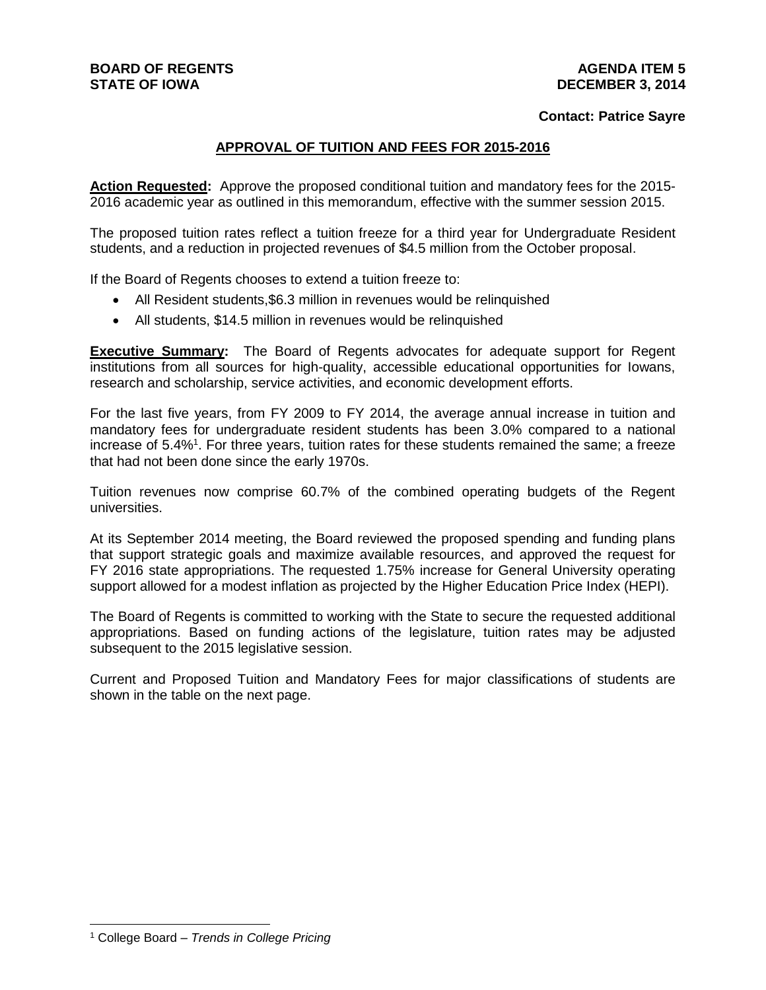## **Contact: Patrice Sayre**

## **APPROVAL OF TUITION AND FEES FOR 2015-2016**

**Action Requested:** Approve the proposed conditional tuition and mandatory fees for the 2015- 2016 academic year as outlined in this memorandum, effective with the summer session 2015.

The proposed tuition rates reflect a tuition freeze for a third year for Undergraduate Resident students, and a reduction in projected revenues of \$4.5 million from the October proposal.

If the Board of Regents chooses to extend a tuition freeze to:

- All Resident students,\$6.3 million in revenues would be relinquished
- All students, \$14.5 million in revenues would be relinquished

**Executive Summary:** The Board of Regents advocates for adequate support for Regent institutions from all sources for high-quality, accessible educational opportunities for Iowans, research and scholarship, service activities, and economic development efforts.

For the last five years, from FY 2009 to FY 2014, the average annual increase in tuition and mandatory fees for undergraduate resident students has been 3.0% compared to a national increase of 5.4%<sup>1</sup>. For three years, tuition rates for these students remained the same; a freeze that had not been done since the early 1970s.

Tuition revenues now comprise 60.7% of the combined operating budgets of the Regent universities.

At its September 2014 meeting, the Board reviewed the proposed spending and funding plans that support strategic goals and maximize available resources, and approved the request for FY 2016 state appropriations. The requested 1.75% increase for General University operating support allowed for a modest inflation as projected by the Higher Education Price Index (HEPI).

The Board of Regents is committed to working with the State to secure the requested additional appropriations. Based on funding actions of the legislature, tuition rates may be adjusted subsequent to the 2015 legislative session.

Current and Proposed Tuition and Mandatory Fees for major classifications of students are shown in the table on the next page.

<sup>1</sup> College Board – *Trends in College Pricing*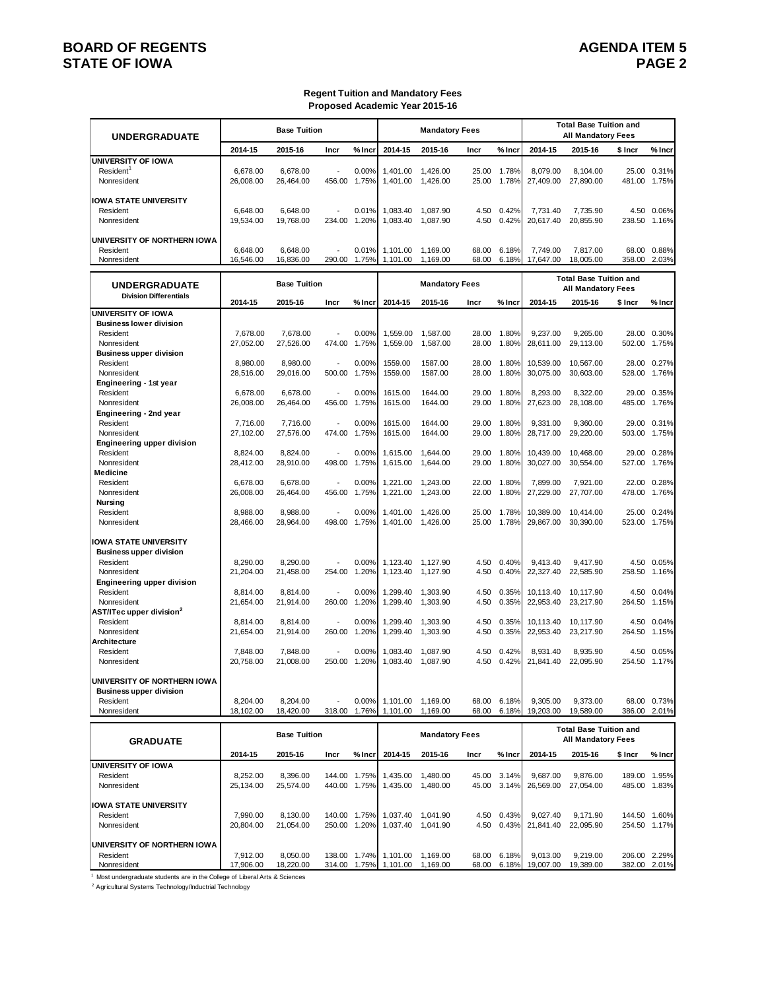## **BOARD OF REGENTS STATE OF IOWA**

#### **Regent Tuition and Mandatory Fees Proposed Academic Year 2015-16**

| <b>UNDERGRADUATE</b>                                                                      |                                    | <b>Base Tuition</b>                |                                    |                         |                                | <b>Mandatory Fees</b>          |                         |                         |                                     | <b>Total Base Tuition and</b><br><b>All Mandatory Fees</b> |                           |                                      |
|-------------------------------------------------------------------------------------------|------------------------------------|------------------------------------|------------------------------------|-------------------------|--------------------------------|--------------------------------|-------------------------|-------------------------|-------------------------------------|------------------------------------------------------------|---------------------------|--------------------------------------|
|                                                                                           | 2014-15                            | 2015-16                            | Incr                               | % Incr                  | 2014-15                        | 2015-16                        | Incr                    | % Incr                  | 2014-15                             | 2015-16                                                    | \$ Incr                   | % Incr                               |
| <b>UNIVERSITY OF IOWA</b><br>Resident <sup>1</sup><br>Nonresident                         | 6.678.00<br>26,008.00              | 6.678.00<br>26,464.00              | 456.00                             | 0.00%<br>1.75%          | 1.401.00<br>1,401.00           | 1.426.00<br>1,426.00           | 25.00<br>25.00          | 1.78%<br>1.78%          | 8.079.00<br>27,409.00               | 8.104.00<br>27,890.00                                      | 25.00<br>481.00           | 0.31%<br>1.75%                       |
| <b>IOWA STATE UNIVERSITY</b><br>Resident<br>Nonresident                                   | 6.648.00<br>19,534.00              | 6,648.00<br>19,768.00              | 234.00                             | 0.01%<br>1.20%          | 1,083.40<br>1,083.40           | 1,087.90<br>1,087.90           | 4.50<br>4.50            | 0.42%<br>0.42%          | 7.731.40<br>20.617.40               | 7,735.90<br>20,855.90                                      | 238.50                    | 4.50 0.06%<br>1.16%                  |
| UNIVERSITY OF NORTHERN IOWA<br>Resident<br>Nonresident                                    | 6,648.00<br>16,546.00              | 6,648.00<br>16,836.00              | 290.00                             | 0.01%<br>1.75%          | 1,101.00<br>1,101.00           | 1,169.00<br>1,169.00           | 68.00<br>68.00          | 6.18%<br>6.18%          | 7,749.00<br>17,647.00               | 7,817.00<br>18,005.00                                      | 358.00                    | 68.00 0.88%<br>2.03%                 |
| <b>UNDERGRADUATE</b>                                                                      |                                    | <b>Base Tuition</b>                |                                    |                         |                                | <b>Mandatory Fees</b>          |                         |                         |                                     | <b>Total Base Tuition and</b><br><b>All Mandatory Fees</b> |                           |                                      |
| <b>Division Differentials</b>                                                             | 2014-15                            | 2015-16                            | Incr                               | $%$ Incr                | 2014-15                        | 2015-16                        | Incr                    | $%$ Incr                | 2014-15                             | 2015-16                                                    | \$ Incr                   | % Incr                               |
| <b>UNIVERSITY OF IOWA</b><br><b>Business lower division</b><br>Resident                   | 7,678.00                           | 7,678.00                           |                                    | 0.00%                   | 1,559.00                       | 1,587.00                       | 28.00                   | 1.80%                   | 9.237.00                            | 9,265.00                                                   |                           | 28.00 0.30%                          |
| Nonresident<br><b>Business upper division</b><br>Resident<br>Nonresident                  | 27,052.00<br>8.980.00              | 27,526.00<br>8.980.00              | 474.00<br>$\overline{a}$<br>500.00 | 1.75%<br>0.00%<br>1.75% | 1,559.00<br>1559.00<br>1559.00 | 1,587.00<br>1587.00<br>1587.00 | 28.00<br>28.00<br>28.00 | 1.80%<br>1.80%<br>1.80% | 28,611.00<br>10.539.00<br>30.075.00 | 29,113.00<br>10.567.00                                     |                           | 502.00 1.75%<br>28.00 0.27%<br>1.76% |
| Engineering - 1st year<br>Resident<br>Nonresident                                         | 28,516.00<br>6,678.00<br>26,008.00 | 29,016.00<br>6,678.00<br>26,464.00 | Ĭ.<br>456.00                       | 0.00%<br>1.75%          | 1615.00<br>1615.00             | 1644.00<br>1644.00             | 29.00<br>29.00          | 1.80%<br>1.80%          | 8,293.00<br>27,623.00               | 30,603.00<br>8,322.00<br>28,108.00                         | 528.00<br>29.00<br>485.00 | 0.35%<br>1.76%                       |
| Engineering - 2nd year<br>Resident<br>Nonresident                                         | 7,716.00<br>27,102.00              | 7,716.00<br>27,576.00              | $\overline{a}$<br>474.00           | 0.00%<br>1.75%          | 1615.00<br>1615.00             | 1644.00<br>1644.00             | 29.00<br>29.00          | 1.80%<br>1.80%          | 9.331.00<br>28,717.00               | 9.360.00<br>29,220.00                                      | 503.00                    | 29.00 0.31%<br>1.75%                 |
| Engineering upper division<br>Resident<br>Nonresident                                     | 8,824.00<br>28,412.00              | 8,824.00<br>28,910.00              | $\overline{a}$<br>498.00           | 0.00%<br>1.75%          | 1,615.00<br>1,615.00           | 1,644.00<br>1.644.00           | 29.00<br>29.00          | 1.80%<br>1.80%          | 10,439.00<br>30,027.00              | 10,468.00<br>30,554.00                                     | 29.00<br>527.00           | 0.28%<br>1.76%                       |
| Medicine<br>Resident<br>Nonresident<br><b>Nursing</b>                                     | 6.678.00<br>26,008.00              | 6.678.00<br>26,464.00              | 456.00                             | 0.00%<br>1.75%          | 1,221.00 1,243.00<br>1,221.00  | 1,243.00                       | 22.00<br>22.00          | 1.80%<br>1.80%          | 7.899.00<br>27,229.00               | 7,921.00<br>27,707.00                                      | 478.00                    | 22.00 0.28%<br>1.76%                 |
| Resident<br>Nonresident                                                                   | 8,988.00<br>28,466.00              | 8,988.00<br>28,964.00              | 498.00                             | 0.00%<br>1.75%          | 1,401.00<br>1,401.00           | 1,426.00<br>1,426.00           | 25.00<br>25.00          | 1.78%<br>1.78%          | 10,389.00<br>29,867.00              | 10,414.00<br>30,390.00                                     |                           | 25.00 0.24%<br>523.00 1.75%          |
| <b>IOWA STATE UNIVERSITY</b><br><b>Business upper division</b><br>Resident<br>Nonresident | 8,290.00<br>21,204.00              | 8,290.00<br>21,458.00              | 254.00                             | 0.00%<br>1.20%          | 1,123.40<br>1,123.40           | 1,127.90<br>1,127.90           | 4.50<br>4.50            | 0.40%<br>0.40%          | 9.413.40<br>22,327.40               | 9,417.90<br>22,585.90                                      | 258.50                    | 4.50 0.05%<br>1.16%                  |
| <b>Engineering upper division</b><br>Resident<br>Nonresident                              | 8,814.00<br>21,654.00              | 8,814.00<br>21,914.00              | 260.00                             | 0.00%<br>1.20%          | 1,299.40<br>1,299.40           | 1,303.90<br>1,303.90           | 4.50<br>4.50            | 0.35%<br>0.35%          | 10,113.40<br>22,953.40              | 10,117.90<br>23,217.90                                     | 4.50<br>264.50            | 0.04%<br>1.15%                       |
| AST/ITec upper division <sup>2</sup><br>Resident<br>Nonresident                           | 8,814.00<br>21,654.00              | 8,814.00<br>21,914.00              | 260.00                             | 0.00%<br>1.20%          | 1,299.40<br>1,299.40           | 1,303.90<br>1,303.90           | 4.50<br>4.50            | 0.35%<br>0.35%          | 10,113.40<br>22,953.40              | 10,117.90<br>23,217.90                                     | 264.50                    | 4.50 0.04%<br>1.15%                  |
| Architecture<br>Resident<br>Nonresident                                                   | 7,848.00<br>20,758.00              | 7,848.00<br>21,008.00              | 250.00                             | 0.00%<br>1.20%          | 1,083.40<br>1,083.40           | 1,087.90<br>1,087.90           | 4.50<br>4.50            | 0.42%<br>0.42%          | 8,931.40<br>21,841.40               | 8,935.90<br>22,095.90                                      | 4.50<br>254.50            | 0.05%<br>1.17%                       |
| UNIVERSITY OF NORTHERN IOWA<br><b>Business upper division</b><br>Resident                 | 8.204.00                           | 8.204.00                           |                                    | 0.00%                   | 1,101.00                       | 1,169.00                       | 68.00                   | 6.18%                   | 9,305.00                            | 9.373.00                                                   |                           | 68.00 0.73%                          |
| Nonresident                                                                               | 18,102.00                          | 18,420.00<br>Dees Tuilles          | 318.00                             | 1.76%                   | 1,101.00                       | 1,169.00<br>Mandatan: Fass     | 68.00                   | 6.18%                   | 19,203.00                           | 19,589.00<br><b>Total Base Tuition and</b>                 | 386.00                    | 2.01%                                |

| <b>GRADUATE</b>                     |           | <b>Base Tuition</b> |        |          |          | <b>Mandatory Fees</b> |       |          |                 | Total Base Tuition and<br><b>All Mandatory Fees</b> |         |          |
|-------------------------------------|-----------|---------------------|--------|----------|----------|-----------------------|-------|----------|-----------------|-----------------------------------------------------|---------|----------|
|                                     | 2014-15   | 2015-16             | Incr   | $%$ Inci | 2014-15  | 2015-16               | Incr  | % Incr   | 2014-15         | 2015-16                                             | \$ Incr | $%$ Incr |
| <b>IUNIVERSITY OF IOWA</b>          |           |                     |        |          |          |                       |       |          |                 |                                                     |         |          |
| Resident                            | 8.252.00  | 8.396.00            | 144.00 | 1.75%    | .435.00  | 1.480.00              | 45.00 | 3.14%    | 9.687.00        | 9.876.00                                            | 189.00  | 1.95%    |
| Nonresident                         | 25.134.00 | 25.574.00           | 440.00 | 1.75%    | .435.00  | 1.480.00              | 45.00 | $3.14\%$ | 26.569.00       | 27.054.00                                           | 485.00  | 1.83%    |
| <b>IOWA STATE UNIVERSITY</b>        |           |                     |        |          |          |                       |       |          |                 |                                                     |         |          |
| Resident                            | 7.990.00  | 8.130.00            | 140.00 | 1.75%    | .037.40  | 1.041.90              | 4.50  | 0.43%    | 9.027.40        | 9.171.90                                            | 144.50  | 1.60%    |
| Nonresident                         | 20.804.00 | 21.054.00           | 250.00 | 1.20%    | 1.037.40 | 1.041.90              | 4.50  |          | 0.43% 21.841.40 | 22.095.90                                           | 254.50  | 1.17%    |
| <b>IUNIVERSITY OF NORTHERN IOWA</b> |           |                     |        |          |          |                       |       |          |                 |                                                     |         |          |
| Resident                            | 7.912.00  | 8.050.00            | 138.00 | 1.74%    | 1.101.00 | 1.169.00              | 68.00 | 6.18%    | 9.013.00        | 9.219.00                                            | 206.00  | 2.29%    |
| Nonresident                         | 17.906.00 | 18.220.00           | 314.00 | 1.75%    | 1.101.00 | 1.169.00              | 68.00 | 6.18%    | 19.007.00       | 19,389.00                                           | 382.00  | 2.01%    |

1 Most undergraduate students are in the College of Liberal Arts & Sciences

<sup>2</sup> Agricultural Systems Technology/Inductrial Technology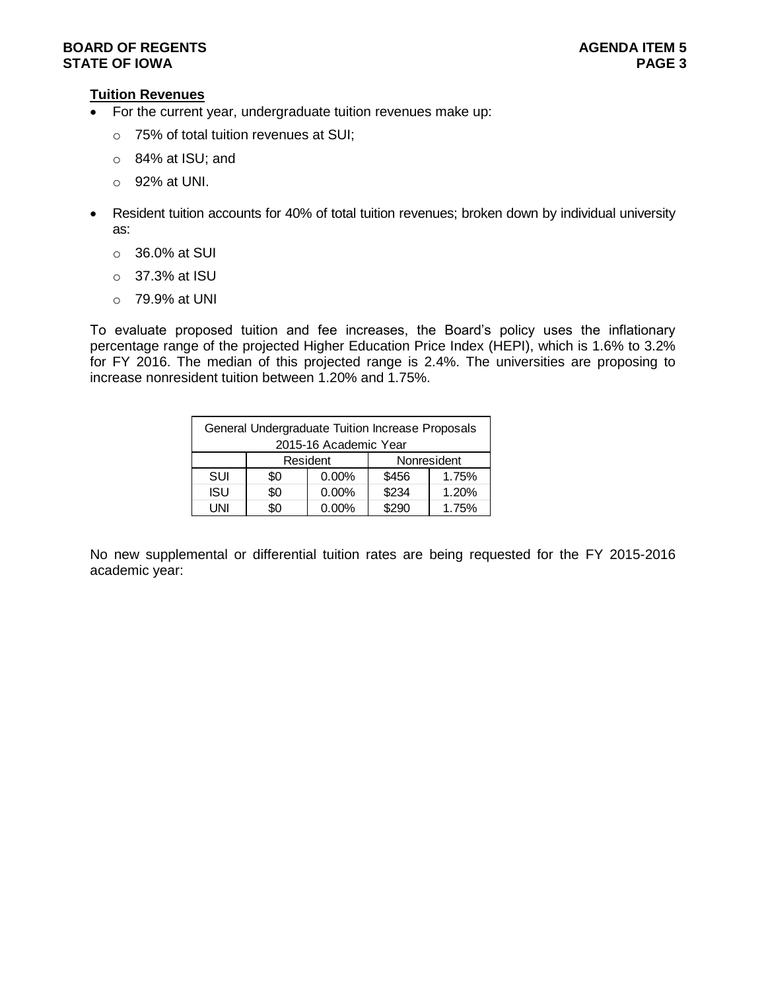## **Tuition Revenues**

- For the current year, undergraduate tuition revenues make up:
	- o 75% of total tuition revenues at SUI;
	- o 84% at ISU; and
	- o 92% at UNI.
- Resident tuition accounts for 40% of total tuition revenues; broken down by individual university as:
	- o 36.0% at SUI
	- o 37.3% at ISU
	- o 79.9% at UNI

To evaluate proposed tuition and fee increases, the Board's policy uses the inflationary percentage range of the projected Higher Education Price Index (HEPI), which is 1.6% to 3.2% for FY 2016. The median of this projected range is 2.4%. The universities are proposing to increase nonresident tuition between 1.20% and 1.75%.

|            | General Undergraduate Tuition Increase Proposals |                       |       |             |
|------------|--------------------------------------------------|-----------------------|-------|-------------|
|            |                                                  | 2015-16 Academic Year |       |             |
|            |                                                  | Resident              |       | Nonresident |
| SUI        | \$0                                              | $0.00\%$              | \$456 | 1.75%       |
| <b>ISU</b> | \$0                                              | $0.00\%$              | \$234 | 1.20%       |
| l JNI      | 80                                               | $0.00\%$              | \$290 | 1.75%       |

No new supplemental or differential tuition rates are being requested for the FY 2015-2016 academic year: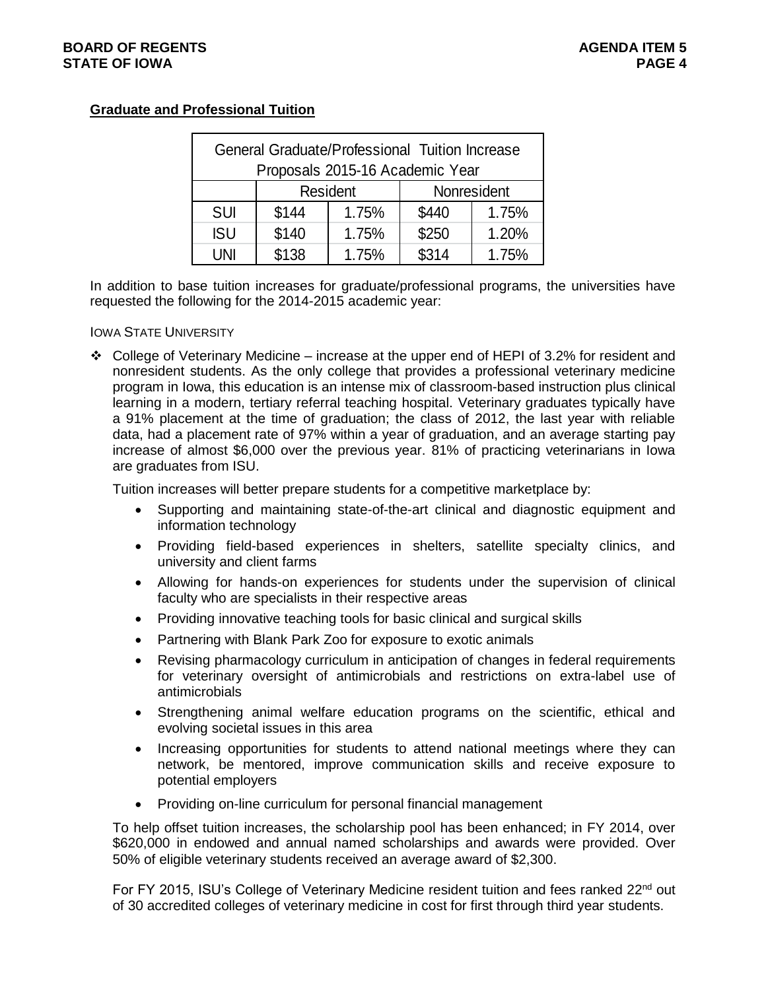## **Graduate and Professional Tuition**

|            | General Graduate/Professional Tuition Increase |                 |             |       |
|------------|------------------------------------------------|-----------------|-------------|-------|
|            | Proposals 2015-16 Academic Year                |                 |             |       |
|            |                                                | <b>Resident</b> | Nonresident |       |
| <b>SUI</b> | \$144                                          | 1.75%           | \$440       | 1.75% |
| <b>ISU</b> | \$140                                          | 1.75%           | \$250       | 1.20% |
| UNI        | \$138                                          | 1.75%           | \$314       | 1.75% |

In addition to base tuition increases for graduate/professional programs, the universities have requested the following for the 2014-2015 academic year:

### IOWA STATE UNIVERSITY

 College of Veterinary Medicine – increase at the upper end of HEPI of 3.2% for resident and nonresident students. As the only college that provides a professional veterinary medicine program in Iowa, this education is an intense mix of classroom-based instruction plus clinical learning in a modern, tertiary referral teaching hospital. Veterinary graduates typically have a 91% placement at the time of graduation; the class of 2012, the last year with reliable data, had a placement rate of 97% within a year of graduation, and an average starting pay increase of almost \$6,000 over the previous year. 81% of practicing veterinarians in Iowa are graduates from ISU.

Tuition increases will better prepare students for a competitive marketplace by:

- Supporting and maintaining state-of-the-art clinical and diagnostic equipment and information technology
- Providing field-based experiences in shelters, satellite specialty clinics, and university and client farms
- Allowing for hands-on experiences for students under the supervision of clinical faculty who are specialists in their respective areas
- Providing innovative teaching tools for basic clinical and surgical skills
- Partnering with Blank Park Zoo for exposure to exotic animals
- Revising pharmacology curriculum in anticipation of changes in federal requirements for veterinary oversight of antimicrobials and restrictions on extra-label use of antimicrobials
- Strengthening animal welfare education programs on the scientific, ethical and evolving societal issues in this area
- Increasing opportunities for students to attend national meetings where they can network, be mentored, improve communication skills and receive exposure to potential employers
- Providing on-line curriculum for personal financial management

To help offset tuition increases, the scholarship pool has been enhanced; in FY 2014, over \$620,000 in endowed and annual named scholarships and awards were provided. Over 50% of eligible veterinary students received an average award of \$2,300.

For FY 2015, ISU's College of Veterinary Medicine resident tuition and fees ranked 22<sup>nd</sup> out of 30 accredited colleges of veterinary medicine in cost for first through third year students.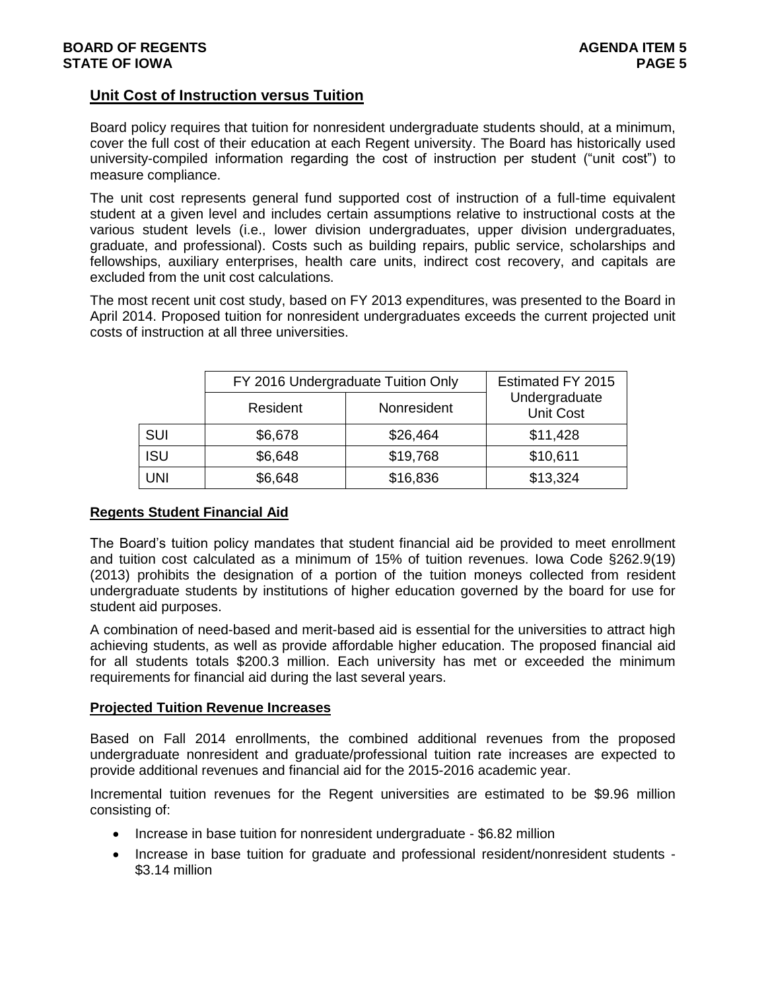## **Unit Cost of Instruction versus Tuition**

Board policy requires that tuition for nonresident undergraduate students should, at a minimum, cover the full cost of their education at each Regent university. The Board has historically used university-compiled information regarding the cost of instruction per student ("unit cost") to measure compliance.

The unit cost represents general fund supported cost of instruction of a full-time equivalent student at a given level and includes certain assumptions relative to instructional costs at the various student levels (i.e., lower division undergraduates, upper division undergraduates, graduate, and professional). Costs such as building repairs, public service, scholarships and fellowships, auxiliary enterprises, health care units, indirect cost recovery, and capitals are excluded from the unit cost calculations.

The most recent unit cost study, based on FY 2013 expenditures, was presented to the Board in April 2014. Proposed tuition for nonresident undergraduates exceeds the current projected unit costs of instruction at all three universities.

|            | FY 2016 Undergraduate Tuition Only |             | Estimated FY 2015                 |
|------------|------------------------------------|-------------|-----------------------------------|
|            | Resident                           | Nonresident | Undergraduate<br><b>Unit Cost</b> |
| SUI        | \$6,678                            | \$26,464    | \$11,428                          |
| <b>ISU</b> | \$6,648                            | \$19,768    | \$10,611                          |
| UNI        | \$6,648                            | \$16,836    | \$13,324                          |

## **Regents Student Financial Aid**

The Board's tuition policy mandates that student financial aid be provided to meet enrollment and tuition cost calculated as a minimum of 15% of tuition revenues. Iowa Code §262.9(19) (2013) prohibits the designation of a portion of the tuition moneys collected from resident undergraduate students by institutions of higher education governed by the board for use for student aid purposes.

A combination of need-based and merit-based aid is essential for the universities to attract high achieving students, as well as provide affordable higher education. The proposed financial aid for all students totals \$200.3 million. Each university has met or exceeded the minimum requirements for financial aid during the last several years.

### **Projected Tuition Revenue Increases**

Based on Fall 2014 enrollments, the combined additional revenues from the proposed undergraduate nonresident and graduate/professional tuition rate increases are expected to provide additional revenues and financial aid for the 2015-2016 academic year.

Incremental tuition revenues for the Regent universities are estimated to be \$9.96 million consisting of:

- Increase in base tuition for nonresident undergraduate \$6.82 million
- Increase in base tuition for graduate and professional resident/nonresident students -\$3.14 million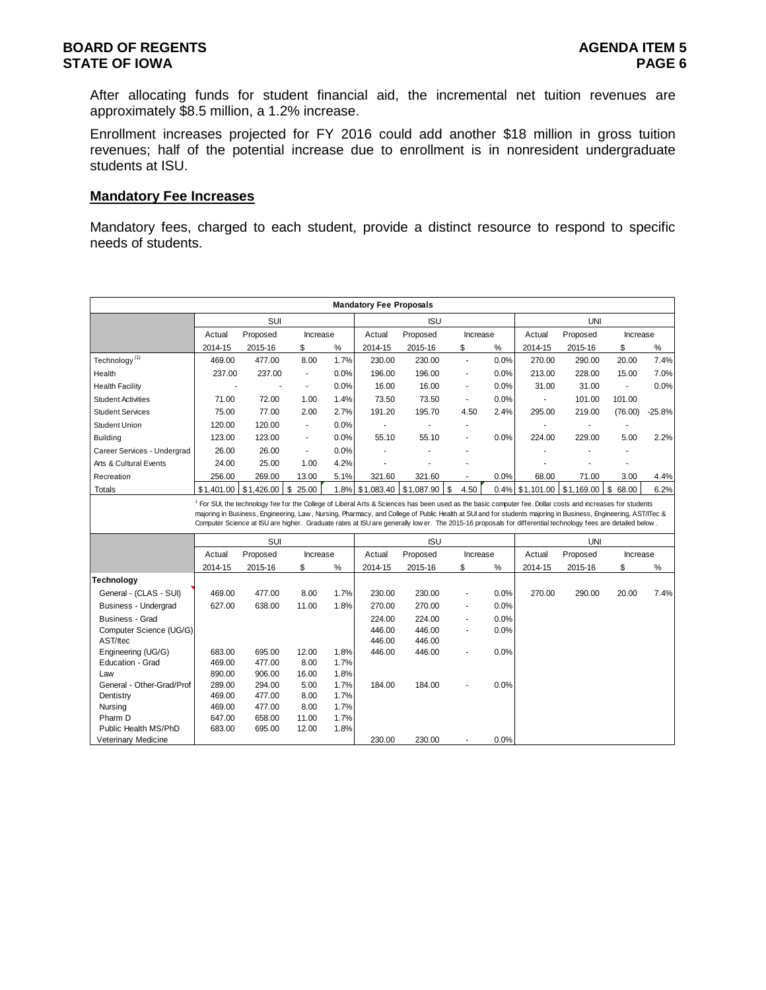After allocating funds for student financial aid, the incremental net tuition revenues are approximately \$8.5 million, a 1.2% increase.

Enrollment increases projected for FY 2016 could add another \$18 million in gross tuition revenues; half of the potential increase due to enrollment is in nonresident undergraduate students at ISU.

### **Mandatory Fee Increases**

Mandatory fees, charged to each student, provide a distinct resource to respond to specific needs of students.

|                                                    |            |                                                                                                                                                                                                                                                                                                                                    |                          |      | <b>Mandatory Fee Proposals</b> |            |                          |      |            |            |                |          |
|----------------------------------------------------|------------|------------------------------------------------------------------------------------------------------------------------------------------------------------------------------------------------------------------------------------------------------------------------------------------------------------------------------------|--------------------------|------|--------------------------------|------------|--------------------------|------|------------|------------|----------------|----------|
|                                                    |            | SUI                                                                                                                                                                                                                                                                                                                                |                          |      |                                | <b>ISU</b> |                          |      |            | <b>UNI</b> |                |          |
|                                                    | Actual     | Proposed                                                                                                                                                                                                                                                                                                                           | Increase                 |      | Actual                         | Proposed   | Increase                 |      | Actual     | Proposed   | Increase       |          |
|                                                    | 2014-15    | 2015-16                                                                                                                                                                                                                                                                                                                            | \$                       | %    | 2014-15                        | 2015-16    | \$                       | $\%$ | 2014-15    | 2015-16    | \$             | %        |
| Technology <sup>(1)</sup>                          | 469.00     | 477.00                                                                                                                                                                                                                                                                                                                             | 8.00                     | 1.7% | 230.00                         | 230.00     | ÷,                       | 0.0% | 270.00     | 290.00     | 20.00          | 7.4%     |
| Health                                             | 237.00     | 237.00                                                                                                                                                                                                                                                                                                                             | $\overline{\phantom{a}}$ | 0.0% | 196.00                         | 196.00     | $\overline{\phantom{a}}$ | 0.0% | 213.00     | 228.00     | 15.00          | 7.0%     |
| <b>Health Facility</b>                             |            |                                                                                                                                                                                                                                                                                                                                    |                          | 0.0% | 16.00                          | 16.00      | ä,                       | 0.0% | 31.00      | 31.00      | $\blacksquare$ | 0.0%     |
| <b>Student Activities</b>                          | 71.00      | 72.00                                                                                                                                                                                                                                                                                                                              | 1.00                     | 1.4% | 73.50                          | 73.50      | $\blacksquare$           | 0.0% |            | 101.00     | 101.00         |          |
| <b>Student Services</b>                            | 75.00      | 77.00                                                                                                                                                                                                                                                                                                                              | 2.00                     | 2.7% | 191.20                         | 195.70     | 4.50                     | 2.4% | 295.00     | 219.00     | (76.00)        | $-25.8%$ |
| Student Union                                      | 120.00     | 120.00                                                                                                                                                                                                                                                                                                                             | ä,                       | 0.0% | ä,                             |            | ٠                        |      |            |            |                |          |
| <b>Building</b>                                    | 123.00     | 123.00                                                                                                                                                                                                                                                                                                                             | ä,                       | 0.0% | 55.10                          | 55.10      | ä,                       | 0.0% | 224.00     | 229.00     | 5.00           | 2.2%     |
| Career Services - Undergrad                        | 26.00      | 26.00                                                                                                                                                                                                                                                                                                                              | $\blacksquare$           | 0.0% |                                |            |                          |      |            |            |                |          |
| Arts & Cultural Events                             | 24.00      | 25.00                                                                                                                                                                                                                                                                                                                              | 1.00                     | 4.2% |                                |            |                          |      |            |            |                |          |
| Recreation                                         | 256.00     | 269.00                                                                                                                                                                                                                                                                                                                             | 13.00                    | 5.1% | 321.60                         | 321.60     |                          | 0.0% | 68.00      | 71.00      | 3.00           | 4.4%     |
| Totals                                             | \$1,401.00 | \$1,426.00                                                                                                                                                                                                                                                                                                                         | \$<br>25.00              | 1.8% | \$1,083.40                     | \$1,087.90 | 4.50<br>\$               | 0.4% | \$1,101.00 | \$1,169.00 | \$<br>68.00    | 6.2%     |
|                                                    |            | majoring in Business, Engineering, Law, Nursing, Pharmacy, and College of Public Health at SUI and for students majoring in Business, Engineering, AST/ITec &<br>Computer Science at ISU are higher. Graduate rates at ISU are generally low er. The 2015-16 proposals for differential technology fees are detailed below.<br>SUI |                          |      |                                | <b>ISU</b> |                          |      |            | <b>UNI</b> |                |          |
|                                                    | Actual     | Proposed                                                                                                                                                                                                                                                                                                                           | Increase                 |      | Actual                         | Proposed   | Increase                 |      | Actual     | Proposed   | Increase       |          |
|                                                    | 2014-15    | 2015-16                                                                                                                                                                                                                                                                                                                            | \$                       | %    | 2014-15                        | 2015-16    | \$                       | %    | 2014-15    | 2015-16    | \$             | $\%$     |
| <b>Technology</b>                                  |            |                                                                                                                                                                                                                                                                                                                                    |                          |      |                                |            |                          |      |            |            |                |          |
| General - (CLAS - SUI)                             | 469.00     | 477.00                                                                                                                                                                                                                                                                                                                             | 8.00                     | 1.7% | 230.00                         | 230.00     | ÷,                       | 0.0% | 270.00     | 290.00     | 20.00          | 7.4%     |
| Business - Undergrad                               | 627.00     | 638.00                                                                                                                                                                                                                                                                                                                             | 11.00                    | 1.8% | 270.00                         | 270.00     | $\overline{a}$           | 0.0% |            |            |                |          |
| Business - Grad                                    |            |                                                                                                                                                                                                                                                                                                                                    |                          |      | 224.00                         | 224.00     | $\overline{a}$           | 0.0% |            |            |                |          |
| Computer Science (UG/G)                            |            |                                                                                                                                                                                                                                                                                                                                    |                          |      | 446.00                         | 446.00     | ٠                        | 0.0% |            |            |                |          |
| AST/Itec                                           |            |                                                                                                                                                                                                                                                                                                                                    |                          |      | 446.00                         | 446.00     |                          |      |            |            |                |          |
| Engineering (UG/G)                                 | 683.00     | 695.00                                                                                                                                                                                                                                                                                                                             | 12.00                    | 1.8% | 446.00                         | 446.00     | ä,                       | 0.0% |            |            |                |          |
| Education - Grad                                   | 469.00     | 477.00                                                                                                                                                                                                                                                                                                                             | 8.00                     | 1.7% |                                |            |                          |      |            |            |                |          |
| Law                                                | 890.00     | 906.00                                                                                                                                                                                                                                                                                                                             | 16.00                    | 1.8% |                                |            |                          |      |            |            |                |          |
| General - Other-Grad/Prof                          | 289.00     | 294.00                                                                                                                                                                                                                                                                                                                             | 5.00                     | 1.7% | 184.00                         | 184.00     |                          | 0.0% |            |            |                |          |
| Dentistry                                          | 469.00     | 477.00                                                                                                                                                                                                                                                                                                                             | 8.00                     | 1.7% |                                |            |                          |      |            |            |                |          |
| Nursing                                            | 469.00     | 477.00                                                                                                                                                                                                                                                                                                                             | 8.00                     | 1.7% |                                |            |                          |      |            |            |                |          |
| Pharm D                                            | 647.00     | 658.00                                                                                                                                                                                                                                                                                                                             | 11.00                    | 1.7% |                                |            |                          |      |            |            |                |          |
| Public Health MS/PhD<br><b>Veterinary Medicine</b> | 683.00     | 695.00                                                                                                                                                                                                                                                                                                                             | 12.00                    | 1.8% | 230.00                         | 230.00     |                          | 0.0% |            |            |                |          |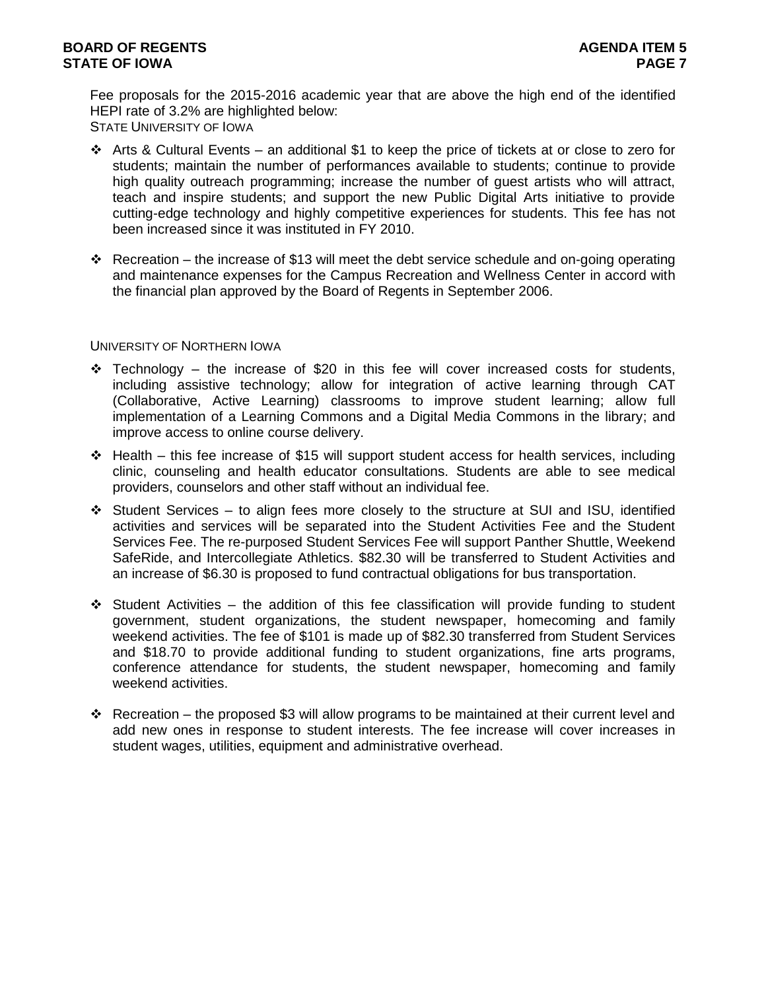Fee proposals for the 2015-2016 academic year that are above the high end of the identified HEPI rate of 3.2% are highlighted below: STATE UNIVERSITY OF IOWA

- $\div$  Arts & Cultural Events an additional \$1 to keep the price of tickets at or close to zero for students; maintain the number of performances available to students; continue to provide high quality outreach programming; increase the number of guest artists who will attract, teach and inspire students; and support the new Public Digital Arts initiative to provide cutting-edge technology and highly competitive experiences for students. This fee has not been increased since it was instituted in FY 2010.
- Recreation the increase of \$13 will meet the debt service schedule and on-going operating and maintenance expenses for the Campus Recreation and Wellness Center in accord with the financial plan approved by the Board of Regents in September 2006.

### UNIVERSITY OF NORTHERN IOWA

- $\div$  Technology the increase of \$20 in this fee will cover increased costs for students, including assistive technology; allow for integration of active learning through CAT (Collaborative, Active Learning) classrooms to improve student learning; allow full implementation of a Learning Commons and a Digital Media Commons in the library; and improve access to online course delivery.
- $\div$  Health this fee increase of \$15 will support student access for health services, including clinic, counseling and health educator consultations. Students are able to see medical providers, counselors and other staff without an individual fee.
- Student Services to align fees more closely to the structure at SUI and ISU, identified activities and services will be separated into the Student Activities Fee and the Student Services Fee. The re-purposed Student Services Fee will support Panther Shuttle, Weekend SafeRide, and Intercollegiate Athletics. \$82.30 will be transferred to Student Activities and an increase of \$6.30 is proposed to fund contractual obligations for bus transportation.
- $\div$  Student Activities the addition of this fee classification will provide funding to student government, student organizations, the student newspaper, homecoming and family weekend activities. The fee of \$101 is made up of \$82.30 transferred from Student Services and \$18.70 to provide additional funding to student organizations, fine arts programs, conference attendance for students, the student newspaper, homecoming and family weekend activities.
- $\cdot$  Recreation the proposed \$3 will allow programs to be maintained at their current level and add new ones in response to student interests. The fee increase will cover increases in student wages, utilities, equipment and administrative overhead.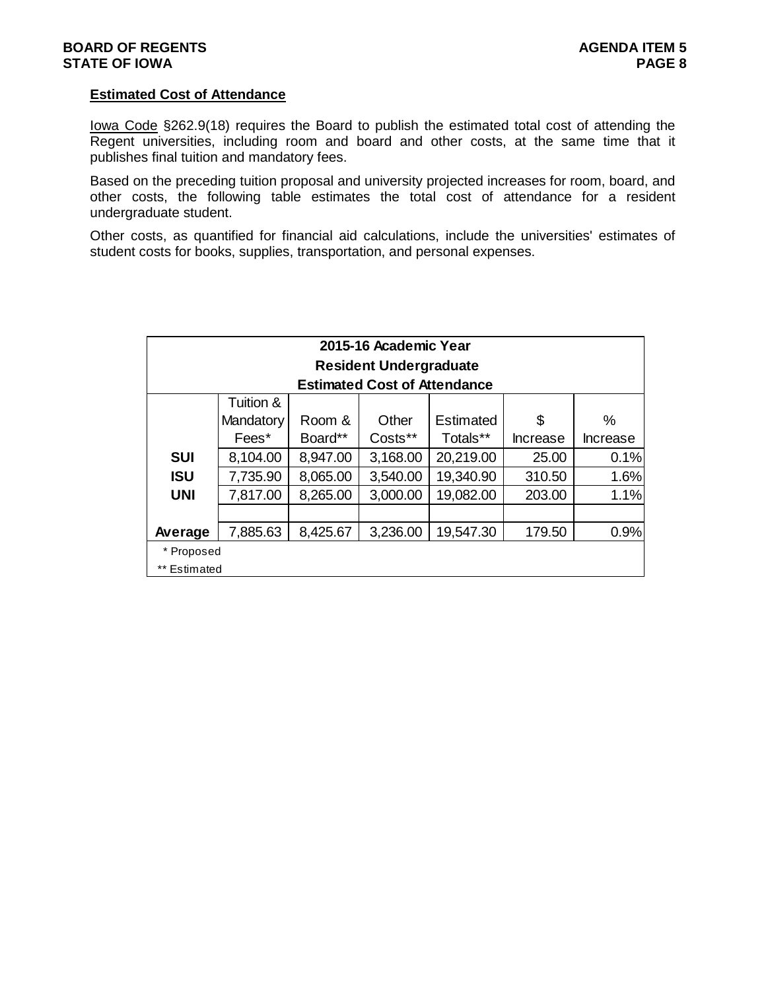### **Estimated Cost of Attendance**

Iowa Code §262.9(18) requires the Board to publish the estimated total cost of attending the Regent universities, including room and board and other costs, at the same time that it publishes final tuition and mandatory fees.

Based on the preceding tuition proposal and university projected increases for room, board, and other costs, the following table estimates the total cost of attendance for a resident undergraduate student.

Other costs, as quantified for financial aid calculations, include the universities' estimates of student costs for books, supplies, transportation, and personal expenses.

|              |           |          | 2015-16 Academic Year               |           |                 |                 |
|--------------|-----------|----------|-------------------------------------|-----------|-----------------|-----------------|
|              |           |          | <b>Resident Undergraduate</b>       |           |                 |                 |
|              |           |          | <b>Estimated Cost of Attendance</b> |           |                 |                 |
|              | Tuition & |          |                                     |           |                 |                 |
|              | Mandatory | Room &   | Other                               | Estimated | \$              | $\%$            |
|              | Fees*     | Board**  | Costs**                             | Totals**  | <b>Increase</b> | <b>Increase</b> |
| <b>SUI</b>   | 8,104.00  | 8,947.00 | 3,168.00                            | 20,219.00 | 25.00           | 0.1%            |
| <b>ISU</b>   | 7,735.90  | 8,065.00 | 3,540.00                            | 19,340.90 | 310.50          | 1.6%            |
| <b>UNI</b>   | 7,817.00  | 8,265.00 | 3,000.00                            | 19,082.00 | 203.00          | 1.1%            |
|              |           |          |                                     |           |                 |                 |
| Average      | 7,885.63  | 8,425.67 | 3,236.00                            | 19,547.30 | 179.50          | 0.9%            |
| * Proposed   |           |          |                                     |           |                 |                 |
| ** Estimated |           |          |                                     |           |                 |                 |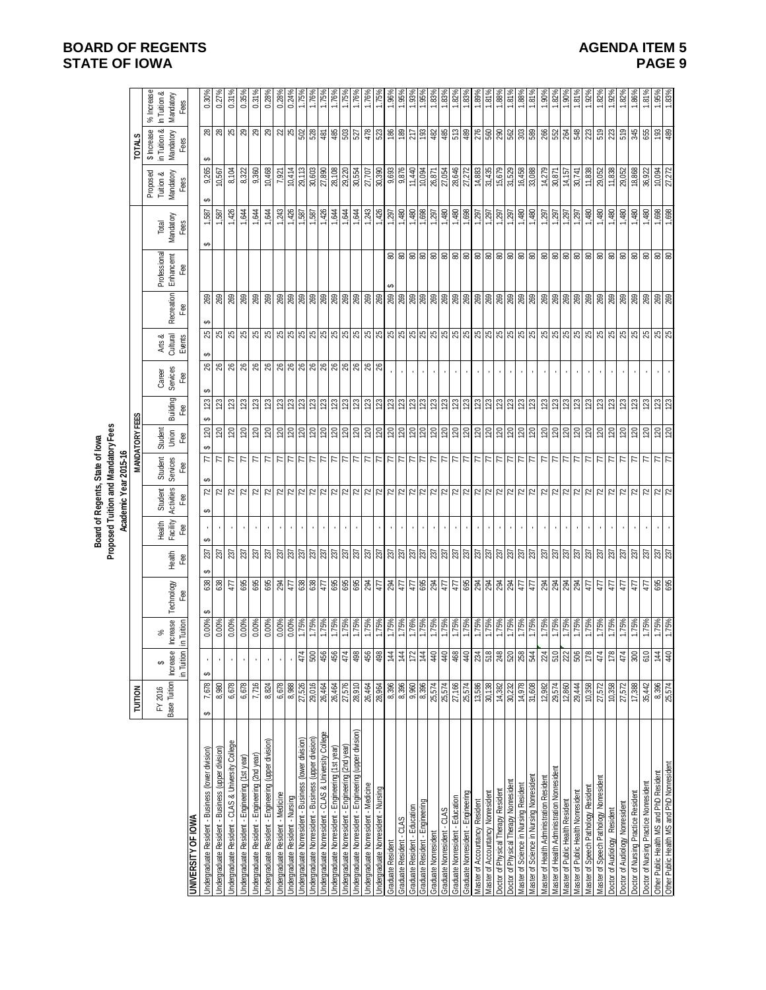|                                                                 |                  |                               |                                    |                                           |               |                    |                       | Board of Regents, State of lowa     |                             |                                    |                             |                                                         |                         |                       |                         |                             |                            |
|-----------------------------------------------------------------|------------------|-------------------------------|------------------------------------|-------------------------------------------|---------------|--------------------|-----------------------|-------------------------------------|-----------------------------|------------------------------------|-----------------------------|---------------------------------------------------------|-------------------------|-----------------------|-------------------------|-----------------------------|----------------------------|
|                                                                 |                  |                               |                                    |                                           |               |                    | Academic Year 2015-16 | Proposed Tuition and Mandatory Fees |                             |                                    |                             |                                                         |                         |                       |                         |                             |                            |
|                                                                 | TUITION          |                               |                                    |                                           |               |                    |                       |                                     | <b>MANDATORY FEES</b>       |                                    |                             |                                                         |                         |                       |                         | <b>TOTALS</b>               |                            |
|                                                                 | FY 2016          | ↮                             | వ్                                 |                                           |               | Health<br>Facility | Student<br>Activities | Student<br>Services                 | Student                     | Career                             | Arts &<br>Cultural          |                                                         | Professional            | Total                 | Proposed<br>Tuition &   | in Tuition &<br>\$ Increase | % Increase<br>In Tuition & |
|                                                                 | Base Tuition     | <b>Increase</b><br>in Tuition | crease<br><b>Tuition</b><br>≘<br>≘ | Technology<br>Fee                         | Health<br>Fee | Fee                | Fee                   | Fee                                 | Union<br>Fee                | Services<br>Fee<br>Building<br>Fee | Events                      | <b>Recreation</b><br>Fee                                | <b>Enhancemt</b><br>Fee | Mandatory<br>Fees     | Mandatory<br>Fees       | Mandatory<br>Fees           | Mandatory<br>Fees          |
| <b>UNIVERSITY OF IOWA</b>                                       |                  |                               |                                    |                                           |               |                    |                       |                                     |                             |                                    |                             |                                                         |                         |                       |                         |                             |                            |
| Jndergraduate Resident - Business (lower division)              | 7,678<br>မာ      | မာ                            | $0.00\%$                           | 638                                       | 237           |                    | မာ<br>72<br>↮         | မာ<br>F                             | မာ<br>120                   | မာ<br>123                          | မာ<br>8                     | 269<br>↮<br>25                                          |                         | 1,587<br>ക            | 9,265                   | မာ                          | 0.30%                      |
| Indergraduate Resident - Business (upper division)              | 8,980            |                               | $0.00\%$                           | 638                                       | 237           |                    | 72                    | $\overline{\pi}$                    | 120                         | 123                                | 8                           | 269<br>25                                               |                         | 1,587                 | 10,567                  | <b>ಜ</b> ಜ                  | 0.27%                      |
| Jndergraduate Resident - CLAS & University College              | 6,678            |                               | 0.00%                              | 477                                       | 237           |                    | 52                    | $\overline{\pi}$                    | $\overline{20}$             | 123                                | æ                           | 269<br>25                                               |                         | 1,426                 | 8,104                   | ස                           | 0.31%                      |
| Jndergraduate Resident - Engineering (1st year)                 | 6,678            |                               | $0.00\%$                           | 695                                       | 237           |                    | 52                    | Z                                   | 120                         | 123                                | 86                          | 269<br>25                                               |                         | 1,644                 | 8,322                   | ස                           | 0.35%                      |
| Indergraduate Resident - Engineering (2nd year)                 | 7,716            |                               | $0.00\%$                           | 695                                       | 237           |                    | 72                    | Z                                   | 120                         | 123                                | 88                          | 269<br>25                                               |                         | 1,644                 | 9,360                   | ස                           | 0.31%                      |
| Indergraduate Resident - Engineering (upper division)           | 8,824            |                               | 0.00%                              | 695                                       | 237           |                    | 72                    | Z                                   | 120                         | 123                                | 88                          | 269<br>25                                               |                         | 1,644                 | 10,468                  | 29                          | 0.28%                      |
| Jndergraduate Resident - Medicine                               | 6,678            |                               | $0.00\%$                           | 294                                       | 237           |                    | 72                    | $\overline{z}$                      | 20                          | 123                                | ଞ୍ଜାଞ୍ଜାଞ୍ଜାଞ୍ଜାଞ୍ଜାଞ୍ଜାଞ୍ଜ | 269<br>25                                               |                         | 1,243                 | 7,921                   | 22<br>25                    | 0.28%                      |
| Indergraduate Resident - Nursing                                | 8,988            |                               | $0.00\%$                           | 477                                       | 237           |                    | 72                    | 7                                   | 120                         | 123                                |                             | 269                                                     |                         | 1,426                 | 10,414                  |                             | 0.24%                      |
| Indergraduate Nonresident - Business (lower division)           | 27,526           | 474                           | 1.75%<br>1.75%                     | 638                                       | 237           | $\mathbf{r}$       | $\overline{z}$        | $\overline{\phantom{a}}$            | 0Z                          | 123                                |                             | 269                                                     |                         | 1,587                 | 29,113                  | 502                         | 1.75%                      |
| Indergraduate Nonresident - Business (upper division)           | 29,016           | 500                           |                                    |                                           | 237           | $\blacksquare$     |                       | И                                   |                             | 123                                |                             |                                                         |                         | 1,587                 | 30,603                  | 528                         | 1.76%                      |
| Indergraduate Nonresident - CLAS & University College           | 26,464           | 456                           | $\frac{1.75\%}{1.75\%}$            | $\frac{1}{25}$                            | 237           |                    | 727                   | 77                                  | $\frac{1}{2}$ $\frac{1}{2}$ | $\frac{23}{23}$                    |                             | $\frac{2}{3}$<br>88888                                  |                         | 1,426                 | 27,890                  |                             | 1.75                       |
| Indergraduate Nonresident - Engineering (1st year)              | 26,464           | 456                           |                                    |                                           | 237           |                    |                       |                                     |                             |                                    |                             |                                                         |                         | 1,644                 | 28,108                  | 485                         | 1.769                      |
| Jndergraduate Nonresident - Engineering (2nd year)              | 27,576           | 474                           | $\frac{1.75\%}{1.75\%}$            | 895                                       | 237           | J.                 | 72                    | $\frac{7}{7}$                       | 120                         | 123                                |                             | $\frac{1}{26}$<br>8888                                  |                         | $\frac{1,644}{1,644}$ | 29,220<br>30,554        | 503                         | 1.75%                      |
| Indergraduate Nonresident - Engineering (upper division)        | 28,910           | 498                           |                                    |                                           | 237           |                    | 72                    |                                     |                             | 123                                |                             |                                                         |                         |                       |                         |                             | 1.76%                      |
| Jndergraduate Nonresident - Medicine                            | 26,464           | 456                           |                                    | 294                                       | 237           |                    | 72                    | $\overline{z}$                      | $\frac{20}{120}$            | 123                                |                             |                                                         |                         | 1,243                 | 27,707                  | 478                         | 1.76%                      |
| Indergraduate Nonresident - Nursing                             | 28,964           | 498                           |                                    | 477                                       | 237           |                    | $\approx$             | $\overline{\phantom{a}}$            |                             | 123                                |                             | 269                                                     |                         | 1,426                 | 30,390                  |                             | 1.75                       |
| Graduate Resident                                               | 8,396            | 144                           | 1.75%                              | <b>124</b><br>477                         | 237           |                    | $\mathbb{Z}$          | $\frac{7}{7}$                       | 120                         | 123                                |                             | 269                                                     | 80<br>G,                | 1,297                 | 9,693                   | 98                          | 1.96                       |
| Graduate Resident - CLAS                                        | 8,396            | $\frac{44}{3}$                | 1.75%                              |                                           | 237           |                    | $\approx$             |                                     | 0Z                          | 123                                |                             | 269                                                     | 80                      | 1,480                 | 9,876                   | 189                         | 1.95%                      |
| Graduate Resident - Education                                   | 9,960            | 172                           | 1.76%<br>1.75%                     | 477                                       | 237           |                    | $\mathbb{Z}$          | $\overline{\pi}$                    | 120                         | 123                                |                             | 269                                                     | 88                      | 1,480                 | 11,440                  | 217                         | 1,93                       |
| Graduate Resident - Engineering                                 | 8,396            | 144                           |                                    |                                           | 237           |                    | <b>Z</b> 2            | И                                   |                             | 123                                |                             | 269                                                     |                         | 1,698                 | 10,094                  | 193                         | 1.95                       |
| Graduate Nonresident                                            | 25,574           | 40                            | 1.75%                              |                                           | 237           |                    |                       | $\overline{\pi}$                    | 0Z                          | 123                                |                             |                                                         | 80                      | 1,297                 | 26,871                  | 482                         | 1.83%                      |
| Graduate Nonresident - Education<br>Graduate Nonresident - CLAS | 25,574<br>27,166 | 468<br>40                     | 1.75%                              | $rac{4}{47}$ = $rac{1}{68}$               | 237<br>237    | $\mathbf{r}$       | 72                    | $\overline{\pi}$                    | 0Z                          | $\overline{23}$<br>123             |                             | <u> ଞ୍ଜାଞ୍ଜାଞ୍ଜାଞ୍ଜ</u> ା                               | 8 8 8                   | 1,480                 | 27,054<br>28,646        | $\frac{48}{512}$            | 1.83%<br>1.82              |
| Graduate Nonresident - Engineering                              | 25,574           | 40                            | $\frac{1.75\%}{1.75\%}$            |                                           | 237           |                    | 72                    | $\frac{7}{7}$                       | 120                         | 123                                |                             |                                                         |                         | $1,480$<br>$1,698$    | 27,272                  |                             | 1,83                       |
| Master of Accountancy Resident                                  | 13,586           | 234                           | 1.75%                              | 294                                       | 237           |                    |                       |                                     | 120                         | 123                                |                             |                                                         |                         | 1,297                 | 14,883                  | 276                         | $1.89^{\circ}$             |
| Master of Accountancy Nonresident                               | 30,138           | 518                           | 1.75%                              |                                           | 237           |                    | 72                    | $\frac{7}{7}$                       | 120                         | 123                                |                             |                                                         | 8 8 8                   | 1,297                 | 31,435                  | 560                         | 1.81%                      |
| Doctor of Physical Therapy Resident                             | 14,382           | 248                           | $\frac{1.75\%}{1.75\%}$            | $\frac{3}{8}$ $\frac{3}{8}$ $\frac{4}{5}$ | 237           |                    | 72                    | $\overline{\pi}$                    | 120                         | 123                                |                             | $\frac{1}{8}$ $\frac{1}{8}$ $\frac{1}{8}$ $\frac{1}{8}$ |                         | 1,297                 | 15,679                  | $\frac{8}{36}$              | 1.88%                      |
| Doctor of Physical Therapy Nonresident                          | 30,232           | 520                           |                                    |                                           | 237           |                    | 72                    | Z                                   | 120                         | 123                                |                             |                                                         |                         | 1,297                 | 31,529<br>16,458        |                             | 1.81%                      |
| Master of Science in Nursing Resident                           | 14,978           | 258                           |                                    |                                           | 237           |                    |                       | $\overline{\phantom{a}}$            |                             | 123                                |                             |                                                         |                         | 1,480                 |                         |                             | 1.88%                      |
| Vlaster of Science in Nursing Nonresident                       | 31,608           | 544                           | 1.75%                              | 477                                       | 237           |                    | 72                    | F                                   | 120                         | 123                                |                             | 269<br>25                                               | 80                      | 1,480                 | 33,088                  | 589                         | 1.81%                      |
| Master of Health Administration Resident                        | 12,982           | 24                            | 1.75%                              | 294                                       | 237           |                    | 72                    | $\overline{r}$                      | 20                          | 123                                |                             | 269<br>25                                               | 88                      | 1,297                 | 14,279                  | 266                         | 1.90%                      |
| Master of Health Administration Nonresident                     | 29,574           | 510                           | 1.75%                              |                                           | 237           |                    | $\overline{z}$        | $\overline{\pi}$                    | 120                         | 123                                |                             | 269                                                     |                         | 1,297                 | 30,871                  | 552                         | 1.82%                      |
| Master of Public Health Resident                                | 12,860           | 22                            | $\frac{1.75\%}{1.75\%}$            | 294                                       | 237           | $\mathbf{r}$ .     | <b>Z</b> 2            | 77                                  | $\frac{20}{20}$             | $\frac{23}{2}$                     |                             | 269<br>269<br><b>25</b>                                 | $\frac{8}{8}$           | $\frac{1,297}{1,297}$ | $\frac{14,157}{30,741}$ | 264                         | 1.90%                      |
| Master of Public Health Nonresident                             | 29,444           | 506                           |                                    |                                           | 237           |                    |                       |                                     |                             | 123                                |                             |                                                         |                         |                       |                         |                             | 1.81%                      |
| Master of Speech Pathology Resident                             | 10,358           | 178                           | 1.75%                              | 477                                       | 237           |                    | 72                    | $\overline{z}$                      | 120                         | 123                                |                             | 269<br>$\frac{25}{25}$                                  | $\frac{8}{8}$           | 1,480                 | 11,838                  | 223                         | 1.92%                      |
| Master of Speech Pathology Nonresident                          | 27,572           | 474                           | 1.75%                              | 477                                       | 237           |                    | $\mathbb{Z}$          | $\overline{\pi}$                    | 120                         | 123                                |                             | 269                                                     |                         | 1,480                 | 29,052                  | 519                         | 1.82%                      |
| Doctor of Audiology Resident                                    | 10,358           | 178                           | 1.75%                              | 477                                       | 237           |                    | $\mathbb{Z}$          | $\overline{r}$                      | 120                         | 123                                |                             | 269<br>25                                               | 80                      | 1,480                 | 11,838                  | 223                         | 1.92%                      |
| Doctor of Audiology Nonresident                                 | 27,572           | 474                           | 1.75%                              | 477                                       | 237           |                    | 72                    | Z                                   | 20                          | 123                                |                             | 269<br>25                                               | 80                      | 1,480                 | 29,052                  | 519                         | 1.82%                      |
| Doctor of Nursing Practice Resident                             | 17,388           | 300                           | 1.75%                              | 477                                       | 237           |                    | 52                    | $\overline{r}$                      | 120                         | 123                                |                             | 269<br>25                                               | 80                      | 1,480                 | 18,868                  | 345                         | 1.86%                      |
| Doctor of Nursing Practice Nonresident                          | 35,442           | 610                           | 1.75%                              | 477                                       | 237           |                    | 72                    | Z                                   | 120                         | 123                                |                             | 269<br>25                                               | $\frac{8}{8}$           | 1,480                 | 36,922                  | 655                         | 1.81%                      |
| Other Public Health MS and PhD Resident                         | 8,396            | $\frac{44}{1}$                | $\frac{1.75\%}{1.75\%}$            | 695<br>695                                | 237           |                    | $\mathbb{Z}$          | $\overline{r}$                      | 120                         | 123                                |                             | 269<br>269<br><b>25</b>                                 |                         | 1,698                 | $\frac{10,094}{27,272}$ | $\frac{8}{48}$              | 1.95%                      |
| Other Public Health MS and PhD Nonresident                      | 25,574           | 40                            |                                    |                                           |               |                    | 52                    | $\overline{\pi}$                    |                             | 123                                |                             |                                                         |                         | 1,698                 |                         |                             | 1.83%                      |

## **BOARD OF REGENTS STATE OF IOWA**

**AGENDA ITEM 5 PAGE 9**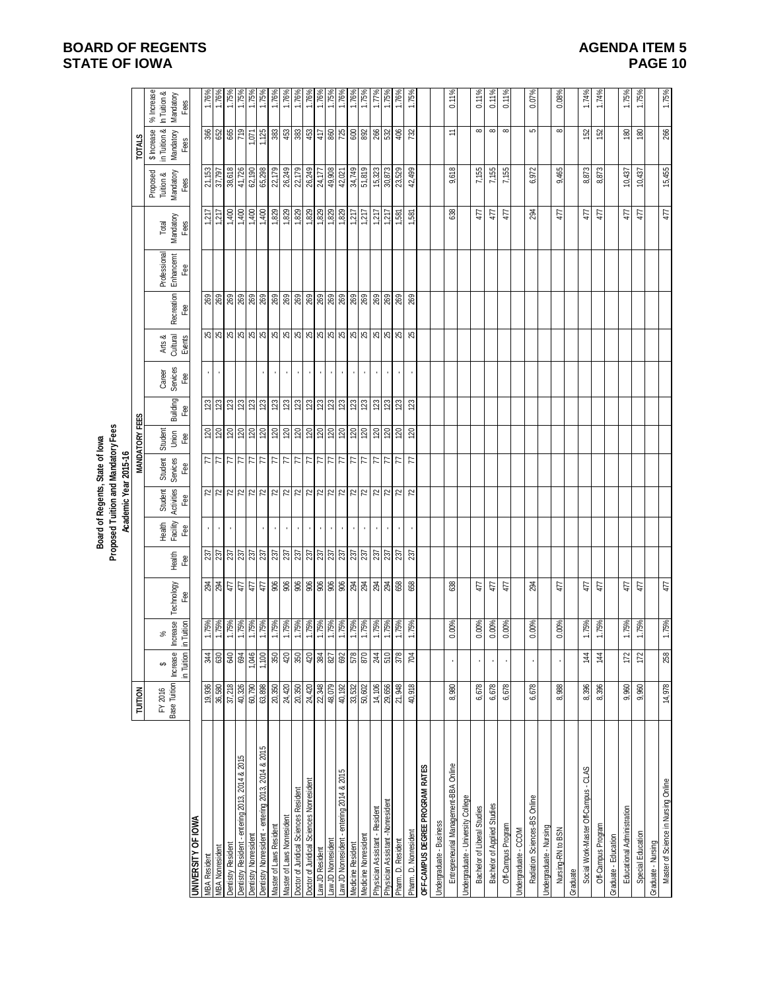# **BOARD OF REGENTS STATE OF IOWA**

| <b>AGENDA ITEM 5</b> |  |
|----------------------|--|
| PAGE 10              |  |

|                                                    |                                     |                   |                               |                         |                                           |                     |                                 | Proposed Tuition and Mandatory Fees<br>Board of Regents, State of lowa |                       |                 |                          |                                     |                                                                                                                                                                                                                                                                                                                     |                           |                       |                       |                             |                              |
|----------------------------------------------------|-------------------------------------|-------------------|-------------------------------|-------------------------|-------------------------------------------|---------------------|---------------------------------|------------------------------------------------------------------------|-----------------------|-----------------|--------------------------|-------------------------------------|---------------------------------------------------------------------------------------------------------------------------------------------------------------------------------------------------------------------------------------------------------------------------------------------------------------------|---------------------------|-----------------------|-----------------------|-----------------------------|------------------------------|
|                                                    |                                     |                   |                               |                         |                                           |                     | Academic Year 2015-16           |                                                                        |                       |                 |                          |                                     |                                                                                                                                                                                                                                                                                                                     |                           |                       |                       |                             |                              |
|                                                    | TUITION                             |                   |                               |                         |                                           |                     |                                 |                                                                        | <b>MANDATORY FEES</b> |                 |                          |                                     |                                                                                                                                                                                                                                                                                                                     |                           |                       |                       | <b>TOTALS</b>               |                              |
|                                                    | FY 2016 \$<br>Base Tuition Increase |                   | వ్                            |                         |                                           | Health<br>Facility  | Student                         | Student<br>Services                                                    | Student               |                 | Career<br>Services       | Arts &<br>Cultural                  |                                                                                                                                                                                                                                                                                                                     | Professional<br>Enhancemt | Total                 | Proposed<br>Tuition & | in Tuition &<br>\$ Increase | $%$ Increase<br>In Tuition & |
|                                                    |                                     | in Tuition        | <b>Increase</b><br>in Tuition | Technology<br>Fee       | Health<br>Fee                             | Fee                 | Activities<br>Fee               | Fee                                                                    | Jhion<br>Fee          | Building<br>Fee | Fee                      | Events                              | Recreation<br>Fee                                                                                                                                                                                                                                                                                                   | Fee                       | Mandatory<br>Fees     | Mandatory<br>Fees     | Mandatory<br>Fees           | Mandatory<br>Fees            |
| <b>UNIVERSITY OF IOWA</b>                          |                                     |                   |                               |                         |                                           |                     |                                 |                                                                        |                       |                 |                          |                                     |                                                                                                                                                                                                                                                                                                                     |                           |                       |                       |                             |                              |
| <b>MBA Nonresident</b><br><b>MBA Resident</b>      | 19,936<br>36,580                    | 344               | 1.75%<br>1.75%                | $\frac{34}{29}$         | 237<br>237                                | ¥,                  | 72                              | $\frac{7}{7}$                                                          | $\frac{20}{20}$       | 123<br>123      | $\epsilon$<br>$\epsilon$ | 25                                  | 269<br>269                                                                                                                                                                                                                                                                                                          |                           | 1,217<br>1,217        | 37,797<br>21,153      | 366                         | $1.76\%$<br>$1.76\%$         |
| Dentistry Resident                                 | 37,218                              | 640               | 1.75%                         | 477                     | 237                                       |                     |                                 |                                                                        | 120                   | 123             |                          |                                     |                                                                                                                                                                                                                                                                                                                     |                           |                       | 38,618                |                             |                              |
| Dentistry Resident - entering 2013, 2014 & 2015    | 40,326                              | 694               | 1.75%                         | $47\,$                  |                                           |                     | $\frac{72}{72}$                 |                                                                        | 120                   | 123             |                          | 8888                                | <b>269</b>                                                                                                                                                                                                                                                                                                          |                           | $\frac{1,400}{1,400}$ | 41,726                | 865                         | $1.75\%$<br>1.75%            |
| Dentistry Nonresident                              | 60,790                              | 9+0'L             | 1.75%<br>1.75%                | 47                      | $\frac{23}{23}$                           |                     |                                 |                                                                        | 0Z                    | 123             |                          |                                     | <b>269</b>                                                                                                                                                                                                                                                                                                          |                           | 1,400                 | 62,190                | 1,071                       | 1.75%<br>1.75%               |
| Dentistry Nonresident - entering 2013, 2014 & 2015 | 63,898                              | 1,100             |                               | 477                     |                                           |                     |                                 |                                                                        | 120                   | 123             |                          |                                     |                                                                                                                                                                                                                                                                                                                     |                           | 1,400                 | 65,298                | 1,125                       |                              |
| Master of Laws Resident                            | 20,350                              | 350               | 1.75%                         | 906                     |                                           | $\mathbf{r}$        |                                 | 3 3 3 3 3 3 3                                                          | 120                   | 123             | $\mathbf{r}$             | $\frac{1}{8}$ ା ଆ ଆ ଆ ଆ ଆ ଆ ଆ ଆ ଆ ଆ |                                                                                                                                                                                                                                                                                                                     |                           | 1,829                 | 22,179                | 383                         | 1.76%                        |
| Master of Laws Nonresident                         | 24,420                              | 420               | 1.75%                         | 906                     |                                           | $\epsilon$          |                                 |                                                                        | 0Z                    | 123             | $\mathcal{A}$            |                                     |                                                                                                                                                                                                                                                                                                                     |                           | 1,829                 | 26,249                |                             | 1.76%                        |
| Doctor of Juridical Sciences Resident              | 20,350                              | 350               | 1.75%                         | $g$ $g$ $g$ $g$ $g$ $g$ | $\frac{2}{3}$ $\frac{2}{3}$ $\frac{2}{3}$ | $\mathbf{r}$        | $\frac{72}{72}$ $\frac{72}{72}$ |                                                                        | 120                   | 123             | $\mathbf{r}$             |                                     | $\frac{1}{2}$ $\frac{1}{2}$ $\frac{1}{2}$ $\frac{1}{2}$ $\frac{1}{2}$ $\frac{1}{2}$ $\frac{1}{2}$ $\frac{1}{2}$ $\frac{1}{2}$ $\frac{1}{2}$ $\frac{1}{2}$ $\frac{1}{2}$ $\frac{1}{2}$ $\frac{1}{2}$ $\frac{1}{2}$ $\frac{1}{2}$ $\frac{1}{2}$ $\frac{1}{2}$ $\frac{1}{2}$ $\frac{1}{2}$ $\frac{1}{2}$ $\frac{1}{2}$ |                           | 1,829                 | 22,179                |                             | 1.76%                        |
| Doctor of Juridical Sciences Nonresident           | 24,420                              |                   | 1.75%                         |                         |                                           | $\blacksquare$      |                                 |                                                                        |                       | 123             | $\alpha$                 |                                     |                                                                                                                                                                                                                                                                                                                     |                           |                       | 26,249<br>24,177      |                             | $1.76\%$<br>$1.76\%$         |
| aw JD Resident                                     | 22,348<br>48,079                    | 38.888            | 1.75%                         |                         | $\frac{2}{3}$                             | $\cdot$             |                                 |                                                                        | 3                     | $\frac{3}{2}$   | $\bar{.}$                |                                     |                                                                                                                                                                                                                                                                                                                     |                           |                       |                       |                             |                              |
| Law JD Nonresident                                 |                                     |                   | 1.75%<br>1.75%                |                         |                                           | $\blacksquare$      |                                 |                                                                        |                       |                 | $\blacksquare$           |                                     |                                                                                                                                                                                                                                                                                                                     |                           |                       | 49,908                |                             | 1.75%<br>1.76%               |
| aw JD Nonresident - entering 2014 & 2015           | 40,192                              |                   |                               |                         |                                           | $\mathbf{r}$        |                                 |                                                                        |                       |                 | $\epsilon$               |                                     |                                                                                                                                                                                                                                                                                                                     |                           |                       | 42,021                |                             |                              |
| Medicine Resident                                  | 33,532                              |                   | 1.75%                         | 294                     | 237                                       | $\epsilon$          |                                 | $\frac{7}{7}$                                                          | 120                   | 123             | $\epsilon$               |                                     | 269                                                                                                                                                                                                                                                                                                                 |                           | 1,217                 | 34,749                | 600                         | 1.76%                        |
| Medicine Nonresident                               | 50,602                              | 870               | 1.75%                         |                         |                                           | $\mathbf{r}$        | $\frac{72}{72}$                 |                                                                        | 07                    | 123             | $\epsilon$               |                                     |                                                                                                                                                                                                                                                                                                                     |                           | 1,217                 | 51,819                |                             | 1.75%                        |
| Physician Assistant - Resident                     | 14,106                              | $\frac{244}{510}$ | 1.75%<br>1.75%                | 294                     | 237                                       | $\epsilon$          |                                 | $\frac{27}{77}$                                                        | $\frac{120}{20}$      | 123             | $\epsilon$               |                                     | 888                                                                                                                                                                                                                                                                                                                 |                           | 1,217                 | 15,323                | 88/26                       | $1.77\%$<br>1.75%            |
| Physician Assistant -Nonresident                   | 29,656                              |                   |                               |                         |                                           | $\bar{1}$           |                                 |                                                                        |                       | 123             | $\bar{1}$                |                                     |                                                                                                                                                                                                                                                                                                                     |                           | 1,217                 | 30,873                |                             |                              |
| Pham. D. Resident                                  | 21,948                              | 378               | 1.75%                         | 658                     | 237                                       | $\bar{\phantom{a}}$ | $\boldsymbol{z}$                |                                                                        | 120                   | 123             | $\epsilon$               | <b>25</b>                           |                                                                                                                                                                                                                                                                                                                     |                           | 1,581                 | 23,529                |                             | 1.76%                        |
| Pharm. D. Nonresident                              | 40,918                              | 704               | 1.75%                         | 658                     | 237                                       |                     | $\overline{r}$                  | $\overline{7}$                                                         | 120                   | 123             |                          |                                     | 269                                                                                                                                                                                                                                                                                                                 |                           | -587                  | 42,499                | 732                         | 1.75%                        |
| OFF-CAMPUS DEGREE PROGRAM RATES                    |                                     |                   |                               |                         |                                           |                     |                                 |                                                                        |                       |                 |                          |                                     |                                                                                                                                                                                                                                                                                                                     |                           |                       |                       |                             |                              |
| Jndergraduate - Business                           |                                     |                   |                               |                         |                                           |                     |                                 |                                                                        |                       |                 |                          |                                     |                                                                                                                                                                                                                                                                                                                     |                           |                       |                       |                             |                              |
| Entrepreneurial Management-BBA Online              | 8,980                               |                   | 0.00%                         | 638                     |                                           |                     |                                 |                                                                        |                       |                 |                          |                                     |                                                                                                                                                                                                                                                                                                                     |                           | 638                   | 9,618                 | ≂                           | 0.11%                        |
| Jndergraduate - University College                 |                                     |                   |                               |                         |                                           |                     |                                 |                                                                        |                       |                 |                          |                                     |                                                                                                                                                                                                                                                                                                                     |                           |                       |                       |                             |                              |
| Bachelor of Liberal Studies                        | 6,678                               |                   | 0.00%                         | 477                     |                                           |                     |                                 |                                                                        |                       |                 |                          |                                     |                                                                                                                                                                                                                                                                                                                     |                           | 477                   | 7,155                 | $\infty$                    | 0.11%                        |
| <b>Bachelor of Applied Studies</b>                 | 6,678                               |                   | 0.00%                         | 477                     |                                           |                     |                                 |                                                                        |                       |                 |                          |                                     |                                                                                                                                                                                                                                                                                                                     |                           | 477                   | 7,155                 | $\infty$                    | 0.11%                        |
| Off-Campus Program                                 | 6,678                               |                   | 0.00%                         | 477                     |                                           |                     |                                 |                                                                        |                       |                 |                          |                                     |                                                                                                                                                                                                                                                                                                                     |                           | 477                   | 7,155                 | $\infty$                    | 0.11%                        |
| Jndergraduate - CCOM                               |                                     |                   |                               |                         |                                           |                     |                                 |                                                                        |                       |                 |                          |                                     |                                                                                                                                                                                                                                                                                                                     |                           |                       |                       |                             |                              |
| Radiation Sciences-BS Online                       | 6,678                               |                   | 0.00%                         | 294                     |                                           |                     |                                 |                                                                        |                       |                 |                          |                                     |                                                                                                                                                                                                                                                                                                                     |                           | 294                   | 6,972                 | 5                           | 0.07%                        |
| <b>Jndergraduate - Nursing</b>                     |                                     |                   |                               |                         |                                           |                     |                                 |                                                                        |                       |                 |                          |                                     |                                                                                                                                                                                                                                                                                                                     |                           |                       |                       |                             |                              |
| Nursing-RN to BSN                                  | 8,988                               |                   | 0.00%                         | 477                     |                                           |                     |                                 |                                                                        |                       |                 |                          |                                     |                                                                                                                                                                                                                                                                                                                     |                           | 477                   | 9,465                 | $\infty$                    | 0.08%                        |
| Graduate                                           |                                     |                   |                               |                         |                                           |                     |                                 |                                                                        |                       |                 |                          |                                     |                                                                                                                                                                                                                                                                                                                     |                           |                       |                       |                             |                              |
| Social Work-Master Off-Campus - CLAS               | 8,396                               | 144               | 1.75%                         | 477                     |                                           |                     |                                 |                                                                        |                       |                 |                          |                                     |                                                                                                                                                                                                                                                                                                                     |                           | 477                   | 8,873                 | 152                         | 1.74%                        |
| Off-Campus Program                                 | 8,396                               | $\frac{4}{4}$     | 1.75%                         | 477                     |                                           |                     |                                 |                                                                        |                       |                 |                          |                                     |                                                                                                                                                                                                                                                                                                                     |                           | 477                   | 8,873                 | 152                         | 1.74%                        |
| Graduate - Education                               |                                     |                   |                               |                         |                                           |                     |                                 |                                                                        |                       |                 |                          |                                     |                                                                                                                                                                                                                                                                                                                     |                           |                       |                       |                             |                              |
| Educational Administration                         | 9,960                               | 172               | 1.75%                         | 477                     |                                           |                     |                                 |                                                                        |                       |                 |                          |                                     |                                                                                                                                                                                                                                                                                                                     |                           | 477                   | 10,437                | 180                         | 1.75%                        |
| Special Education                                  | 9,960                               | 172               | 1.75%                         | 477                     |                                           |                     |                                 |                                                                        |                       |                 |                          |                                     |                                                                                                                                                                                                                                                                                                                     |                           | 477                   | 10,437                | $\frac{80}{2}$              | 1.75%                        |
| Graduate - Nursing                                 |                                     |                   |                               |                         |                                           |                     |                                 |                                                                        |                       |                 |                          |                                     |                                                                                                                                                                                                                                                                                                                     |                           |                       |                       |                             |                              |
| Master of Science in Nursing Online                | 14,978                              | 258               | 1.75%                         | 477                     |                                           |                     |                                 |                                                                        |                       |                 |                          |                                     |                                                                                                                                                                                                                                                                                                                     |                           | 477                   | 15,455                | 266                         | 1.75%                        |
|                                                    |                                     |                   |                               |                         |                                           |                     |                                 |                                                                        |                       |                 |                          |                                     |                                                                                                                                                                                                                                                                                                                     |                           |                       |                       |                             |                              |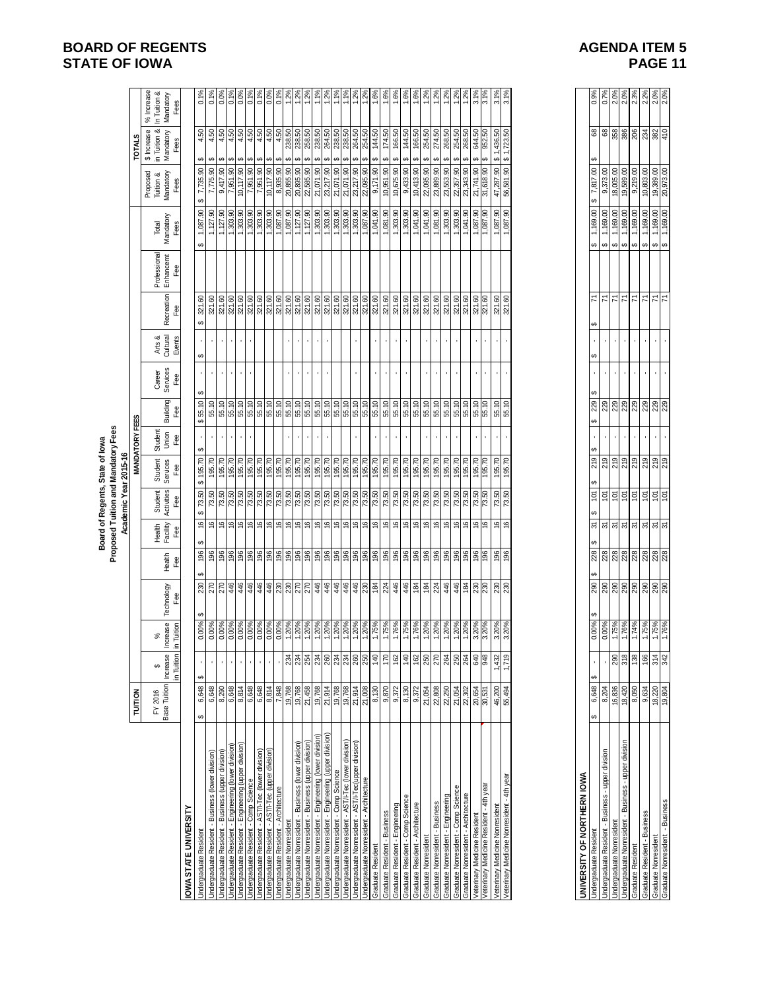# **BOARD OF REGENTS**<br> **BOARD OF REGENTS**<br> **BOARD OF IOWA**<br> **BOARD OF IOWA STATE OF IOWA**

| <b>AGENDA ITEM 5</b> |
|----------------------|
| PAGE 11              |

|                                                          |                                |               |                       |            |                |                                    |                       | Proposed Tuition and Mandatory Fees<br>Board of Regents, State of lowa |                       |             |                    |                    |              |                           |                    |                                    |                                          |                                         |
|----------------------------------------------------------|--------------------------------|---------------|-----------------------|------------|----------------|------------------------------------|-----------------------|------------------------------------------------------------------------|-----------------------|-------------|--------------------|--------------------|--------------|---------------------------|--------------------|------------------------------------|------------------------------------------|-----------------------------------------|
|                                                          |                                |               |                       |            |                |                                    |                       | Academic Year 2015-16                                                  |                       |             |                    |                    |              |                           |                    |                                    |                                          |                                         |
|                                                          | <b>TUITION</b>                 |               |                       |            |                |                                    |                       |                                                                        | <b>MANDATORY FEES</b> |             |                    |                    |              |                           |                    |                                    | <b>TOTALS</b>                            |                                         |
|                                                          | <b>Base Tuition</b><br>FY 2016 | Increase<br>↮ | <b>Increase</b><br>ಸ್ | Technology | Health         | Facility<br>Health                 | Activities<br>Student | Services<br>Student                                                    | Student<br>Union      | Building    | Services<br>Career | Arts &<br>Cultural | Recreation   | Professional<br>Enhancemt | Mandatory<br>Total | Mandatory<br>Proposed<br>Tuition & | in Tuition &<br>\$ Increase<br>Mandatory | % Increase<br>In Tuition &<br>Mandatory |
|                                                          |                                | in Tuition    | in Tuition            | Fee        | Fee            | Fee                                | Fee                   | Fee                                                                    | Fee                   | Fee         | Fee                | Events             | Fee          | Fee                       | Fees               | Fees                               | Fees                                     | Fees                                    |
| OWA STATE UNIVERSITY                                     |                                |               |                       |            |                |                                    |                       |                                                                        |                       |             |                    |                    |              |                           |                    |                                    |                                          |                                         |
| Undergraduate Resident                                   | 6,648<br>မာ                    | 69            | 0.00%                 | 230        | 196            | $\frac{6}{5}$<br>69                | 73.50<br>G,           | 195.70<br>G                                                            | မာ                    | 69<br>55.10 | ↮                  |                    | 321.60<br>မာ |                           | ,087.90<br>69      | 7,735.90<br>G.                     | 4.50<br>ക                                | 0.1%                                    |
| Jndergraduate Resident - Business (lower division)       | 6,648                          |               | 0.00%                 | 270        | 196            | 9                                  | 73.50                 | 195.70                                                                 |                       | 55.10       |                    |                    | 321.60       |                           | 1,127.90           | 7,775.90                           | 4.50<br>↮                                | 0.1%                                    |
| Indergraduate Resident - Business (upper division)       | 8,290                          |               | 0.00%                 | 270        | 196            | $\frac{6}{5}$                      | 73.50                 | 195.70                                                                 |                       | 55.10       |                    |                    | 321.60       |                           | 1,127.90           | 9,417.90                           | 4.50<br>↮                                | 0.0%                                    |
| Jndergraduate Resident - Engineering (lower division)    | 6,648                          |               | 0.00%                 | 446        | 196            | $\frac{6}{5}$                      | 73.50                 | 195.70                                                                 |                       | 55.10       |                    | ï                  | 321.60       |                           | 1,303.90           | 7,951.90                           | 4.50<br>မာ                               | 0.1%                                    |
| Undergraduate Resident - Engineering (upper division)    | 8,814                          |               | 0.00%                 | 446        | 196            | 9                                  | 73.50                 | 195.70                                                                 |                       | 55.10       |                    | ٠                  | 321.60       |                           | 1,303.90           | 10,117.90                          | 4.50<br>ഗ                                | 0.0%                                    |
| Undergraduate Resident - Comp Science                    | 6,648                          |               | 0.00%                 | 446        | 196            | $\frac{6}{5}$                      | 73.50                 | 195.70                                                                 |                       | 55.10       |                    |                    | 321.60       |                           | 1,303.90           | 7,951.90                           | 4.50<br>↮                                | 0.1%                                    |
| Undergraduate Resident - AST/I-Tec (lower division)      | 6,648                          |               | 0.00%                 | 446        | 196            | $\frac{6}{5}$                      | 73.50                 | 195.70                                                                 |                       | 55.10       |                    |                    | 321.60       |                           | 1,303.90           | 7,951.90                           | 4.50<br>မာ                               | 0.1%                                    |
| Undergraduate Resident - AST/I-Tec (upper division)      | 8,814                          |               | 0.00%                 | 446        | 196            | $\frac{6}{2}$                      | 73.50                 | 195.70                                                                 |                       | 55.10       |                    |                    | 321.60       |                           | 1,303.90           | 10,117.90                          | 4.50<br>ഗ                                | 0.0%                                    |
| Jndergraduate Resident - Architecture                    | 7,848                          |               | 0.00%                 | 230        | 196            | $\frac{6}{5}$                      | 73.50                 | 195.70                                                                 |                       | 55.10       |                    |                    | 321.60       |                           | 087.90             | 8,935.90                           | 4.50<br>ഗ                                | 0.1%                                    |
| <b>Jndergraduate Nonresident</b>                         | 19,768                         | 234           | 1.20%                 |            | 196            | $\frac{6}{2}$                      | 73.50                 | 195.70                                                                 |                       | 55.10       |                    |                    | 321.60       |                           | 1,087.90           | 20,855.90                          | 238.50<br>မာ                             | 1.2%                                    |
| Jndergraduate Nonresident - Business (lower division)    | 19,768                         | 234           | 1.20%                 | 270        | 196            | 9                                  | 73.50                 | 195.70                                                                 | $\blacksquare$        | 55.10       | ٠                  | л.                 | 321.60       |                           | 1,127.90           | 20,895.90                          | 238.50<br>မာ                             | 1.2%                                    |
| Jndergraduate Nonresident - Business (upper division)    | 21,458                         | 254           | 1.20%                 |            | 196            | $\frac{6}{5}$                      | 73.50                 | 195.70                                                                 |                       | 55.10       |                    | ï                  | 321.60       |                           | 1,127.90           | 22,585.90                          | 258.50<br>မာ                             | 1.2%                                    |
| Undergraduate Nonresident - Engineering (lower division) | 19,768                         | 234           | 1.20%                 | 446        | 196            | $\frac{6}{5}$                      | 73.50                 | 195.70                                                                 |                       | 55.10       |                    |                    | 321.60       |                           | 1,303.90           | 21,071.90                          | 238.50<br>မာ                             | 1.1%                                    |
| Undergraduate Nonresident - Engineering (upper division) | 21,914                         | 260           | 1.20%                 | 446        | 196            | $\frac{6}{2}$                      | 73.50                 | 195.70                                                                 |                       | 55.10       |                    |                    | 321.60       |                           | 1,303.90           | 23,217.90                          | 264.50<br>မာ                             | 1.2%                                    |
| Jndergraduate Nonresident - Comp Science                 | 19,768                         | 234           | 1.20%                 | 446        | 196            | $\overset{\circ}{\phantom{\circ}}$ | 73.50                 | 195.70                                                                 |                       | 55.10       |                    |                    | 321.60       |                           | 1,303.90           | 21,071.90                          | 238.50<br>ഗ                              | 1.1%                                    |
| Jndergraduate Nonresident - AST/I-Tec (lower division)   | 19,768                         | 234           | 1.20%                 | 446        | 196            | $\frac{6}{2}$                      | 73.50                 | 195.70                                                                 |                       | 55.10       |                    |                    | 321.60       |                           | ,303.90            | 21,071.90                          | 238.50<br>မာ                             | 1.1%                                    |
| Jndergraduate Nonresident - AST/I-Tec (upper division)   | 21.914                         | 260           | 1.20%                 | 446        | 196            | $\frac{6}{2}$                      | 73.50                 | 195.70                                                                 |                       | 55.10       |                    |                    | 321.60       |                           | 1,303.90           | 23,217.90                          | 264.50<br>မာ                             | 1.2%                                    |
| Undergraduate Nonresident - Architecture                 | 21,008                         | 250           | 1.20%                 |            | $\frac{96}{5}$ | $\frac{6}{5}$                      | 73.50                 | 195.70                                                                 |                       | 55.10       |                    |                    | 321.60       |                           | ,087.90            | 22,095.90                          | 254.50<br>မာ                             | 1.2%                                    |
| Graduate Resident                                        | 8,130                          | 140           | 1.75%                 | 184        | 196            | $\frac{6}{5}$                      | 73.50                 | 195.70                                                                 |                       | 55.10       |                    |                    | 321.60       |                           | 1,041.90           | 9,171.90                           | 144.50<br>မာ                             | 1.6%                                    |
| Graduate Resident - Business                             | 9,870                          | 170           | 1.75%                 | 224        | 196            | $\frac{6}{5}$                      | 73.50                 | 195.70                                                                 |                       | 55.10       |                    |                    | 321.60       |                           | 1,081.90           | 10,951.90                          | 174.50<br>Ø                              | 1.6%                                    |
| Graduate Resident - Engineering                          | 9,372                          | 162           | 1.76%                 | 446        | 196            | $\frac{6}{5}$                      | 73.50                 | 195.70                                                                 |                       | 55.10       |                    |                    | 321.60       |                           | 1,303.90           | 10,675.90                          | 166.50<br>မာ                             | 1.6%                                    |
| Graduate Resident - Comp Science                         | 8,130                          | 140           | 1.75%                 | 446        | 196            | $\frac{6}{5}$                      | 73.50                 | 195.70                                                                 |                       | 55.10       |                    |                    | 321.60       |                           | ,303.90            | 9,433.90                           | 144.50<br>မာ                             | 1.6%                                    |
| Graduate Resident - Architecture                         | 9,372                          | 162           | 1.76%                 | 184        | 196            | $\frac{6}{5}$                      | 73.50                 | 195.70                                                                 |                       | 55.10       |                    |                    | 321.60       |                           | 1,041.90           | 10,413.90                          | 166.50<br>G,                             | 1.6%                                    |
| Graduate Nonresident                                     | 21,054                         | 250           | 1.20%                 | 184        | 196            | $\frac{6}{5}$                      | 73.50                 | 195.70                                                                 |                       | 55.10       |                    |                    | 321.60       |                           | 1,041.90           | 22,095.90                          | 254.50<br>မာ                             | 1.2%                                    |
| Graduate Nonresident - Business                          | 22,808                         | 270           | 1.20%                 | 224        | 196            | $\frac{6}{5}$                      | 73.50                 | 195.70                                                                 |                       | 55.10       |                    |                    | 321.60       |                           | 1,081.90           | 23,889.90                          | 274.50<br>မာ                             | 1.2%                                    |
| Graduate Nonresident - Engineering                       | 22,250                         | 264           | 1.20%                 | 446        | 196            | $\overset{\circ}{\phantom{\circ}}$ | 73.50                 | 195.70                                                                 |                       | 55.10       |                    |                    | 321.60       |                           | 1,303.90           | 23,553.90                          | 268.50<br>G,                             | 1.2%                                    |
| Graduate Nonresident - Comp Science                      | 21,054                         | 250           | 1.20%                 | 446        | 196            | $\frac{6}{5}$                      | 73.50                 | 195.70                                                                 |                       | 55.10       |                    |                    | 321.60       |                           | ,303.90            | 22,357.90                          | 254.50<br>Θ.                             | 1.2%                                    |
| Graduate Nonresident - Architecture                      | 22,302                         | 264           | 1.20%                 | 184        | 196            | 9                                  | 73.50                 | 195.70                                                                 |                       | 55.10       |                    |                    | 321.60       |                           | 1,041.90           | 23,343.90                          | 268.50<br>ഗ                              | 1.2%                                    |
| Veterinary Medicine Resident                             | 20,654                         | 640           | 3.20%                 | 230        | 196            | $\frac{6}{5}$                      | 73.50                 | 195.70                                                                 |                       | 55.10       |                    |                    | 321.60       |                           | 1,087.90           | 21,741.90                          | 644.50<br>မာ                             | 3.1%                                    |
| Veterinary Medicine Resident - 4th year                  | 30,531                         | 948           | 3.20%                 | 230        | 196            | 9,                                 | 73.50                 | 195.70                                                                 |                       | 55.10       |                    |                    | 321.60       |                           | 1,087.90           | 31,618.90                          | 952.50<br>မာ                             | 3.1%                                    |
| Veterinary Medicine Nonresident                          | 46,200                         | 1,432         | 3.20%                 | <b>230</b> | 196            | 9                                  | 73.50                 | 195.70                                                                 |                       | 55.10       |                    |                    | 321.60       |                           | ,087.90            | 47,287.90                          | \$1,436.50                               | 3.1%                                    |
| Veterinary Medicine Nonresident - 4th year               | 55,494                         | 1,719         | 3.20%                 |            | 196            | $\frac{6}{5}$                      | 73.50                 | 195.70                                                                 |                       | 55.10       |                    |                    | 321.60       |                           | ,087.90            | 56,581.90                          | \$1,723.50                               | 3.1%                                    |
|                                                          |                                |               |                       |            |                |                                    |                       |                                                                        |                       |             |                    |                    |              |                           |                    |                                    |                                          |                                         |

| IVERSITY OF NORTHERN IOWA                             |        |               |            |           |          |    |   |          |   |          |   |    |        |    |                |                  |        |         |  |
|-------------------------------------------------------|--------|---------------|------------|-----------|----------|----|---|----------|---|----------|---|----|--------|----|----------------|------------------|--------|---------|--|
| Indergraduate Residen <sup>®</sup>                    | 6,648  |               | Ą<br>0.00% | မာ<br>290 | Ą<br>228 | స్ | ģ | 219<br>ക | Ą | 229<br>Ø | A | မာ | й<br>↮ | မာ | g<br>169.      | g<br>18,<br>6A   | 8<br>ക | 0.9%    |  |
| Indergraduate Resident - Business - upper division    | 8,204  |               | 0.00%      | <u>දි</u> | 228      | స్ | è | 219      |   | 229      | 1 | ١  | ř      | မာ | 8<br>169.      | ತ<br>9,373.      | 8      | 0.7%    |  |
| Indergraduate Nonresident                             | 16,836 | 290           | 1.75%      | 290       | 228      | స్ | ģ | 219      | 1 | 229      | ı |    | ř      | မာ | 8<br>169.      | 8<br>18,005.     | 358    | $2.0\%$ |  |
| Indergraduate Nonresident - Business - upper division | 18,420 | 318           | 1.76%      | 290       | 28       | స్ | ģ | 219      | ı | 229      | ٠ |    | ř      | မာ | 8<br>169.      | 8<br>19,589      | 386    | 2.0%    |  |
| Graduate Resident                                     | 8,050  | 38            | .74%       | 290       | 228      | స్ | ģ | 219      | , | 229      | ı | ı  | й      | မာ | 8<br><u>යි</u> | S<br>9,219.      | 206    | 2.3%    |  |
| Graduate Resident - Business                          | 9.634  | 88            | 1.75%      | 290       | 228      | స్ | ģ | 219      |   | 229      | 1 |    | ř      | မာ | 8<br>169.      | 8<br>1,803.      | 234    | 2.2%    |  |
| Graduate Nonresiden <sup>+</sup>                      | 18,220 | $\frac{4}{3}$ | 1.75%      | 290       | 228      | స్ | ģ | 219      |   | 229      | ı | ı  | ř      | မာ | (69            | 5<br>19,389.     | 382    | 2.0%    |  |
| Graduate Nonresident - Business                       | 19.80  | 342           | 1.76%      | 290       | 28       | 5  | ģ | 219      |   | 29       | ı | ı  | ř      | မာ | 8<br>169.      | 8<br>p<br>20,973 | 410    | 2.0%    |  |
|                                                       |        |               |            |           |          |    |   |          |   |          |   |    |        |    |                |                  |        |         |  |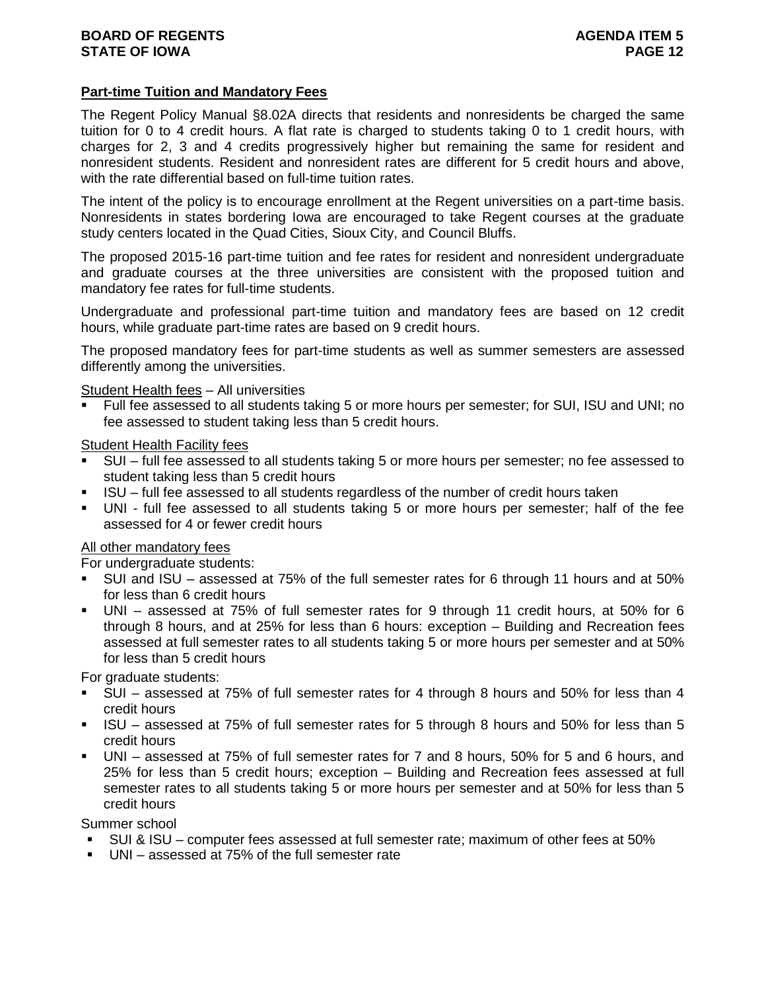## **Part-time Tuition and Mandatory Fees**

The Regent Policy Manual §8.02A directs that residents and nonresidents be charged the same tuition for 0 to 4 credit hours. A flat rate is charged to students taking 0 to 1 credit hours, with charges for 2, 3 and 4 credits progressively higher but remaining the same for resident and nonresident students. Resident and nonresident rates are different for 5 credit hours and above, with the rate differential based on full-time tuition rates.

The intent of the policy is to encourage enrollment at the Regent universities on a part-time basis. Nonresidents in states bordering Iowa are encouraged to take Regent courses at the graduate study centers located in the Quad Cities, Sioux City, and Council Bluffs.

The proposed 2015-16 part-time tuition and fee rates for resident and nonresident undergraduate and graduate courses at the three universities are consistent with the proposed tuition and mandatory fee rates for full-time students.

Undergraduate and professional part-time tuition and mandatory fees are based on 12 credit hours, while graduate part-time rates are based on 9 credit hours.

The proposed mandatory fees for part-time students as well as summer semesters are assessed differently among the universities.

Student Health fees – All universities

 Full fee assessed to all students taking 5 or more hours per semester; for SUI, ISU and UNI; no fee assessed to student taking less than 5 credit hours.

Student Health Facility fees

- SUI full fee assessed to all students taking 5 or more hours per semester; no fee assessed to student taking less than 5 credit hours
- ISU full fee assessed to all students regardless of the number of credit hours taken
- UNI full fee assessed to all students taking 5 or more hours per semester; half of the fee assessed for 4 or fewer credit hours

### All other mandatory fees

For undergraduate students:

- SUI and ISU assessed at 75% of the full semester rates for 6 through 11 hours and at 50% for less than 6 credit hours
- UNI assessed at 75% of full semester rates for 9 through 11 credit hours, at 50% for 6 through 8 hours, and at 25% for less than 6 hours: exception – Building and Recreation fees assessed at full semester rates to all students taking 5 or more hours per semester and at 50% for less than 5 credit hours

For graduate students:

- SUI assessed at 75% of full semester rates for 4 through 8 hours and 50% for less than 4 credit hours
- ISU assessed at 75% of full semester rates for 5 through 8 hours and 50% for less than 5 credit hours
- UNI assessed at 75% of full semester rates for 7 and 8 hours, 50% for 5 and 6 hours, and 25% for less than 5 credit hours; exception – Building and Recreation fees assessed at full semester rates to all students taking 5 or more hours per semester and at 50% for less than 5 credit hours

Summer school

- SUI & ISU computer fees assessed at full semester rate; maximum of other fees at 50%
- UNI assessed at 75% of the full semester rate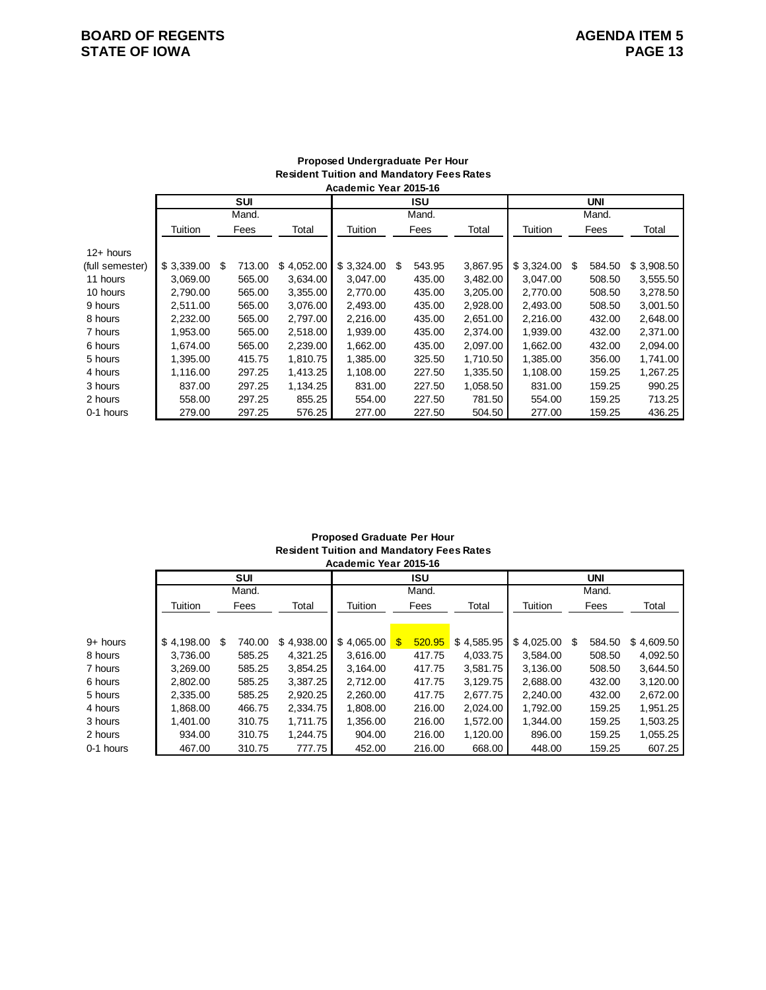## **BOARD OF REGENTS STATE OF IOWA PAGE 13**

|                 |            |              |            | Academic Year 2015-16 |   |        |          |            |   |            |            |
|-----------------|------------|--------------|------------|-----------------------|---|--------|----------|------------|---|------------|------------|
|                 |            | SUI          |            |                       |   | ISU    |          |            |   | <b>UNI</b> |            |
|                 |            | Mand.        |            |                       |   | Mand.  |          |            |   | Mand.      |            |
|                 | Tuition    | Fees         | Total      | Tuition               |   | Fees   | Total    | Tuition    |   | Fees       | Total      |
| $12+$ hours     |            |              |            |                       |   |        |          |            |   |            |            |
| (full semester) | \$3,339.00 | \$<br>713.00 | \$4,052.00 | \$3,324.00            | S | 543.95 | 3,867.95 | \$3,324.00 | S | 584.50     | \$3,908.50 |
| 11 hours        | 3,069.00   | 565.00       | 3,634.00   | 3,047.00              |   | 435.00 | 3,482.00 | 3,047.00   |   | 508.50     | 3,555.50   |
| 10 hours        | 2,790.00   | 565.00       | 3,355.00   | 2,770.00              |   | 435.00 | 3,205.00 | 2,770.00   |   | 508.50     | 3,278.50   |
| 9 hours         | 2.511.00   | 565.00       | 3.076.00   | 2.493.00              |   | 435.00 | 2,928.00 | 2.493.00   |   | 508.50     | 3,001.50   |
| 8 hours         | 2,232.00   | 565.00       | 2.797.00   | 2,216.00              |   | 435.00 | 2,651.00 | 2,216.00   |   | 432.00     | 2,648.00   |
| 7 hours         | 1,953.00   | 565.00       | 2,518.00   | 1,939.00              |   | 435.00 | 2,374.00 | 1,939.00   |   | 432.00     | 2,371.00   |
| 6 hours         | 1,674.00   | 565.00       | 2,239.00   | 1,662.00              |   | 435.00 | 2,097.00 | 1,662.00   |   | 432.00     | 2,094.00   |
| 5 hours         | 1,395.00   | 415.75       | 1,810.75   | 1,385.00              |   | 325.50 | 1,710.50 | 1,385.00   |   | 356.00     | 1,741.00   |
| 4 hours         | 1,116.00   | 297.25       | 1,413.25   | 1,108.00              |   | 227.50 | 1,335.50 | 1,108.00   |   | 159.25     | 1,267.25   |
| 3 hours         | 837.00     | 297.25       | 1,134.25   | 831.00                |   | 227.50 | 1,058.50 | 831.00     |   | 159.25     | 990.25     |
| 2 hours         | 558.00     | 297.25       | 855.25     | 554.00                |   | 227.50 | 781.50   | 554.00     |   | 159.25     | 713.25     |
| 0-1 hours       | 279.00     | 297.25       | 576.25     | 277.00                |   | 227.50 | 504.50   | 277.00     |   | 159.25     | 436.25     |

## **Proposed Undergraduate Per Hour Resident Tuition and Mandatory Fees Rates**

#### **Proposed Graduate Per Hour Resident Tuition and Mandatory Fees Rates Academic Year 2015-16**

|           |            |   |            |            | ACQUEIIIIC IEAI ZUIJ-IU |     |        |            |            |   |        |            |  |
|-----------|------------|---|------------|------------|-------------------------|-----|--------|------------|------------|---|--------|------------|--|
|           |            |   | <b>SUI</b> |            |                         |     | ISU    |            |            |   | UNI    |            |  |
|           |            |   | Mand.      |            |                         |     | Mand.  |            |            |   | Mand.  |            |  |
|           | Tuition    |   | Fees       | Total      | Tuition                 |     | Fees   | Total      | Tuition    |   | Fees   | Total      |  |
|           |            |   |            |            |                         |     |        |            |            |   |        |            |  |
|           |            |   |            |            |                         |     |        |            |            |   |        |            |  |
| 9+ hours  | \$4.198.00 | S | 740.00     | \$4,938.00 | \$4.065.00              | \$. | 520.95 | \$4,585.95 | \$4.025.00 | S | 584.50 | \$4,609.50 |  |
| 8 hours   | 3.736.00   |   | 585.25     | 4,321.25   | 3.616.00                |     | 417.75 | 4,033.75   | 3.584.00   |   | 508.50 | 4,092.50   |  |
| 7 hours   | 3.269.00   |   | 585.25     | 3,854.25   | 3,164.00                |     | 417.75 | 3,581.75   | 3.136.00   |   | 508.50 | 3,644.50   |  |
| 6 hours   | 2,802.00   |   | 585.25     | 3,387.25   | 2,712.00                |     | 417.75 | 3,129.75   | 2,688.00   |   | 432.00 | 3,120.00   |  |
| 5 hours   | 2.335.00   |   | 585.25     | 2,920.25   | 2.260.00                |     | 417.75 | 2,677.75   | 2.240.00   |   | 432.00 | 2,672.00   |  |
| 4 hours   | 1.868.00   |   | 466.75     | 2.334.75   | 1.808.00                |     | 216.00 | 2.024.00   | 1,792.00   |   | 159.25 | 1.951.25   |  |
| 3 hours   | 1.401.00   |   | 310.75     | 1.711.75   | 1,356.00                |     | 216.00 | 1,572.00   | 1.344.00   |   | 159.25 | 1,503.25   |  |
| 2 hours   | 934.00     |   | 310.75     | 1.244.75   | 904.00                  |     | 216.00 | 1,120.00   | 896.00     |   | 159.25 | 1,055.25   |  |
| 0-1 hours | 467.00     |   | 310.75     | 777.75     | 452.00                  |     | 216.00 | 668.00     | 448.00     |   | 159.25 | 607.25     |  |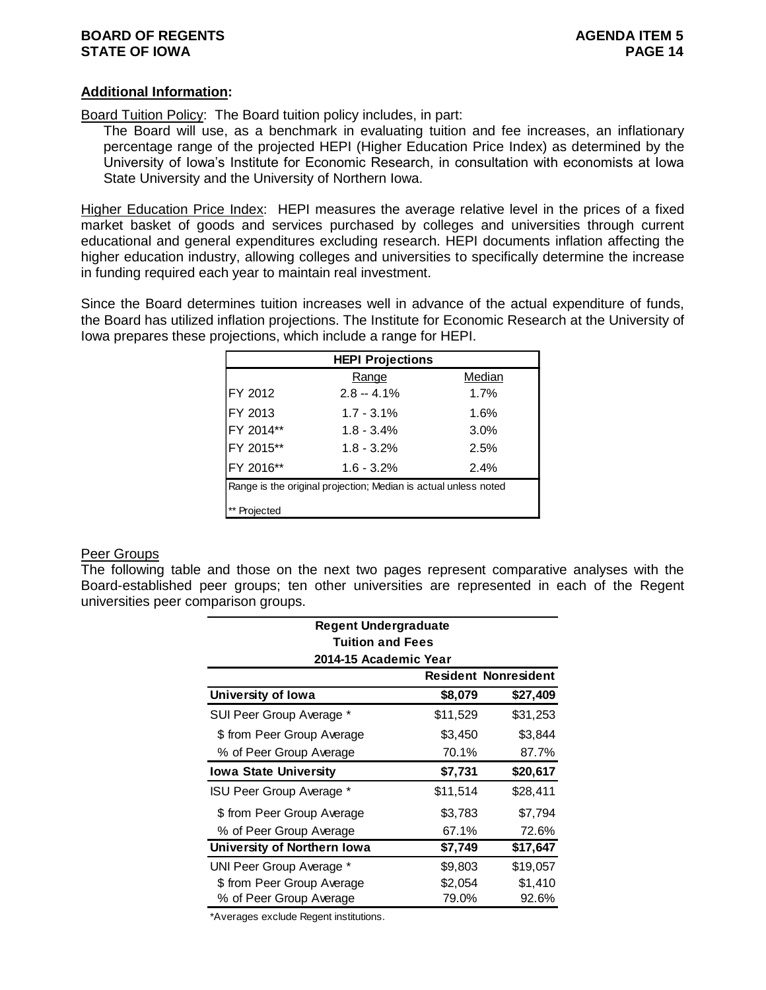## **Additional Information:**

Board Tuition Policy: The Board tuition policy includes, in part:

The Board will use, as a benchmark in evaluating tuition and fee increases, an inflationary percentage range of the projected HEPI (Higher Education Price Index) as determined by the University of Iowa's Institute for Economic Research, in consultation with economists at Iowa State University and the University of Northern Iowa.

Higher Education Price Index: HEPI measures the average relative level in the prices of a fixed market basket of goods and services purchased by colleges and universities through current educational and general expenditures excluding research. HEPI documents inflation affecting the higher education industry, allowing colleges and universities to specifically determine the increase in funding required each year to maintain real investment.

Since the Board determines tuition increases well in advance of the actual expenditure of funds, the Board has utilized inflation projections. The Institute for Economic Research at the University of Iowa prepares these projections, which include a range for HEPI.

|           | <b>HEPI Projections</b>                                         |        |
|-----------|-----------------------------------------------------------------|--------|
|           | Range                                                           | Median |
| FY 2012   | $2.8 - 4.1\%$                                                   | 1.7%   |
| FY 2013   | $1.7 - 3.1\%$                                                   | 1.6%   |
| FY 2014** | $1.8 - 3.4%$                                                    | 3.0%   |
| FY 2015** | $1.8 - 3.2%$                                                    | 2.5%   |
| FY 2016** | $1.6 - 3.2%$                                                    | 2.4%   |
|           | Range is the original projection; Median is actual unless noted |        |
| Projected |                                                                 |        |

### Peer Groups

The following table and those on the next two pages represent comparative analyses with the Board-established peer groups; ten other universities are represented in each of the Regent universities peer comparison groups.

| <b>Regent Undergraduate</b>  |          |                             |
|------------------------------|----------|-----------------------------|
| <b>Tuition and Fees</b>      |          |                             |
| 2014-15 Academic Year        |          |                             |
|                              |          | <b>Resident Nonresident</b> |
| University of Iowa           | \$8,079  | \$27,409                    |
| SUI Peer Group Average *     | \$11,529 | \$31,253                    |
| \$ from Peer Group Average   | \$3,450  | \$3,844                     |
| % of Peer Group Average      | 70.1%    | 87.7%                       |
| <b>Iowa State University</b> | \$7,731  | \$20,617                    |
| ISU Peer Group Average *     | \$11,514 | \$28,411                    |
| \$ from Peer Group Average   | \$3,783  | \$7,794                     |
| % of Peer Group Average      | 67.1%    | 72.6%                       |
| University of Northern Iowa  | \$7,749  | \$17,647                    |
| UNI Peer Group Average *     | \$9,803  | \$19,057                    |
| \$ from Peer Group Average   | \$2,054  | \$1,410                     |
| % of Peer Group Average      | 79.0%    | 92.6%                       |

\*Averages exclude Regent institutions.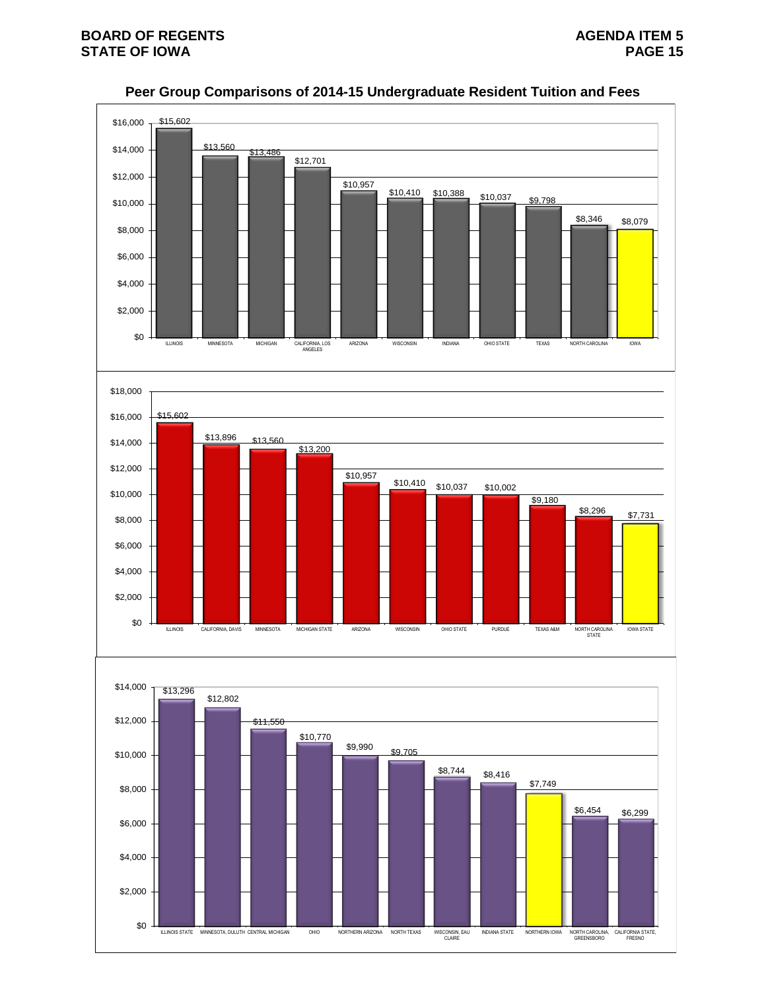

## **Peer Group Comparisons of 2014-15 Undergraduate Resident Tuition and Fees**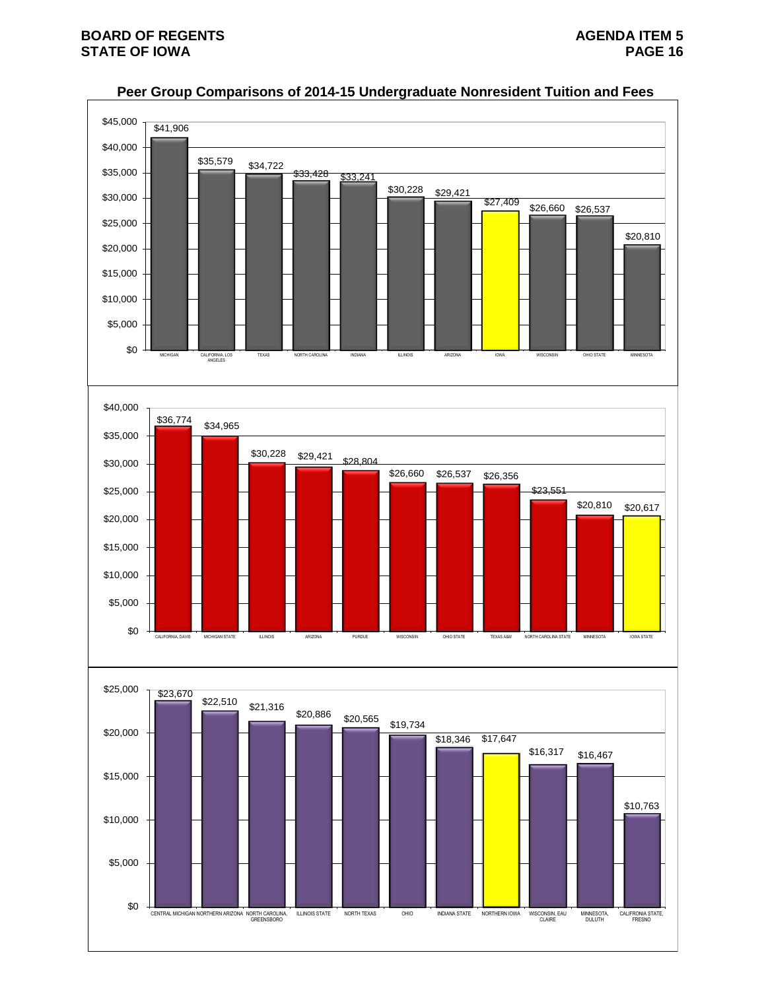

## **Peer Group Comparisons of 2014-15 Undergraduate Nonresident Tuition and Fees**